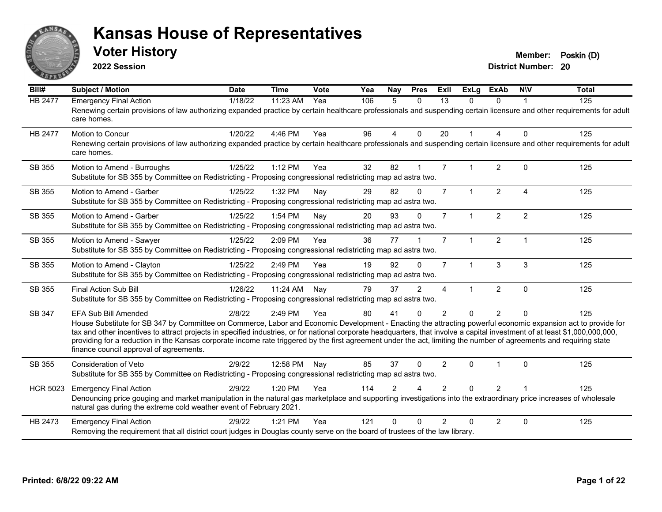

**2022 Session**

| Bill#           | <b>Subject / Motion</b>                                                                                                                                                                                                                                                                                                                                 | <b>Date</b> | <b>Time</b> | Vote | Yea | Nay            | <b>Pres</b>    | ExII           | <b>ExLg</b>          | <b>ExAb</b>    | <b>NIV</b>     | <b>Total</b> |
|-----------------|---------------------------------------------------------------------------------------------------------------------------------------------------------------------------------------------------------------------------------------------------------------------------------------------------------------------------------------------------------|-------------|-------------|------|-----|----------------|----------------|----------------|----------------------|----------------|----------------|--------------|
| HB 2477         | <b>Emergency Final Action</b>                                                                                                                                                                                                                                                                                                                           | 1/18/22     | 11:23 AM    | Yea  | 106 | 5              | $\Omega$       | 13             | $\Omega$             | $\Omega$       |                | 125          |
|                 | Renewing certain provisions of law authorizing expanded practice by certain healthcare professionals and suspending certain licensure and other requirements for adult<br>care homes.                                                                                                                                                                   |             |             |      |     |                |                |                |                      |                |                |              |
| <b>HB 2477</b>  | <b>Motion to Concur</b>                                                                                                                                                                                                                                                                                                                                 | 1/20/22     | 4:46 PM     | Yea  | 96  | 4              | $\Omega$       | 20             |                      | $\overline{A}$ | $\Omega$       | 125          |
|                 | Renewing certain provisions of law authorizing expanded practice by certain healthcare professionals and suspending certain licensure and other requirements for adult<br>care homes.                                                                                                                                                                   |             |             |      |     |                |                |                |                      |                |                |              |
| SB 355          | Motion to Amend - Burroughs                                                                                                                                                                                                                                                                                                                             | 1/25/22     | $1:12$ PM   | Yea  | 32  | 82             | 1              | $\overline{7}$ |                      | 2              | $\Omega$       | 125          |
|                 | Substitute for SB 355 by Committee on Redistricting - Proposing congressional redistricting map ad astra two.                                                                                                                                                                                                                                           |             |             |      |     |                |                |                |                      |                |                |              |
| SB 355          | Motion to Amend - Garber                                                                                                                                                                                                                                                                                                                                | 1/25/22     | 1:32 PM     | Nay  | 29  | 82             | $\Omega$       | $\overline{7}$ | $\mathbf{1}$         | $\overline{2}$ | 4              | 125          |
|                 | Substitute for SB 355 by Committee on Redistricting - Proposing congressional redistricting map ad astra two.                                                                                                                                                                                                                                           |             |             |      |     |                |                |                |                      |                |                |              |
| SB 355          | Motion to Amend - Garber                                                                                                                                                                                                                                                                                                                                | 1/25/22     | 1:54 PM     | Nay  | 20  | 93             | $\Omega$       | $\overline{7}$ |                      | $\overline{2}$ | $\overline{2}$ | 125          |
|                 | Substitute for SB 355 by Committee on Redistricting - Proposing congressional redistricting map ad astra two.                                                                                                                                                                                                                                           |             |             |      |     |                |                |                |                      |                |                |              |
| SB 355          | Motion to Amend - Sawyer                                                                                                                                                                                                                                                                                                                                | 1/25/22     | 2:09 PM     | Yea  | 36  | 77             |                | $\overline{7}$ | $\mathbf{1}$         | $\overline{2}$ | $\mathbf 1$    | 125          |
|                 | Substitute for SB 355 by Committee on Redistricting - Proposing congressional redistricting map ad astra two.                                                                                                                                                                                                                                           |             |             |      |     |                |                |                |                      |                |                |              |
| SB 355          | Motion to Amend - Clayton                                                                                                                                                                                                                                                                                                                               | 1/25/22     | 2:49 PM     | Yea  | 19  | 92             | $\Omega$       | $\overline{7}$ | $\blacktriangleleft$ | 3              | 3              | 125          |
|                 | Substitute for SB 355 by Committee on Redistricting - Proposing congressional redistricting map ad astra two.                                                                                                                                                                                                                                           |             |             |      |     |                |                |                |                      |                |                |              |
| SB 355          | <b>Final Action Sub Bill</b>                                                                                                                                                                                                                                                                                                                            | 1/26/22     | 11:24 AM    | Nay  | 79  | 37             | $\overline{2}$ | $\overline{4}$ | $\blacktriangleleft$ | $\overline{2}$ | $\Omega$       | 125          |
|                 | Substitute for SB 355 by Committee on Redistricting - Proposing congressional redistricting map ad astra two.                                                                                                                                                                                                                                           |             |             |      |     |                |                |                |                      |                |                |              |
| SB 347          | <b>EFA Sub Bill Amended</b>                                                                                                                                                                                                                                                                                                                             | 2/8/22      | 2:49 PM     | Yea  | 80  | 41             | $\Omega$       | $\mathfrak{p}$ | $\Omega$             | $\overline{2}$ | $\Omega$       | 125          |
|                 | House Substitute for SB 347 by Committee on Commerce, Labor and Economic Development - Enacting the attracting powerful economic expansion act to provide for                                                                                                                                                                                           |             |             |      |     |                |                |                |                      |                |                |              |
|                 | tax and other incentives to attract projects in specified industries, or for national corporate headquarters, that involve a capital investment of at least \$1,000,000,000,000,<br>providing for a reduction in the Kansas corporate income rate triggered by the first agreement under the act, limiting the number of agreements and requiring state |             |             |      |     |                |                |                |                      |                |                |              |
|                 | finance council approval of agreements.                                                                                                                                                                                                                                                                                                                 |             |             |      |     |                |                |                |                      |                |                |              |
| SB 355          | <b>Consideration of Veto</b>                                                                                                                                                                                                                                                                                                                            | 2/9/22      | 12:58 PM    | Nay  | 85  | 37             | $\Omega$       | 2              | $\Omega$             | -1             | $\Omega$       | 125          |
|                 | Substitute for SB 355 by Committee on Redistricting - Proposing congressional redistricting map ad astra two.                                                                                                                                                                                                                                           |             |             |      |     |                |                |                |                      |                |                |              |
| <b>HCR 5023</b> | <b>Emergency Final Action</b>                                                                                                                                                                                                                                                                                                                           | 2/9/22      | 1:20 PM     | Yea  | 114 | $\overline{2}$ |                | $\mathcal{P}$  | 0                    | 2              |                | 125          |
|                 | Denouncing price gouging and market manipulation in the natural gas marketplace and supporting investigations into the extraordinary price increases of wholesale                                                                                                                                                                                       |             |             |      |     |                |                |                |                      |                |                |              |
|                 | natural gas during the extreme cold weather event of February 2021.                                                                                                                                                                                                                                                                                     |             |             |      |     |                |                |                |                      |                |                |              |
| HB 2473         | <b>Emergency Final Action</b>                                                                                                                                                                                                                                                                                                                           | 2/9/22      | 1:21 PM     | Yea  | 121 | $\Omega$       | $\Omega$       | $\mathcal{P}$  | 0                    | $\overline{2}$ | $\Omega$       | 125          |
|                 | Removing the requirement that all district court judges in Douglas county serve on the board of trustees of the law library.                                                                                                                                                                                                                            |             |             |      |     |                |                |                |                      |                |                |              |
|                 |                                                                                                                                                                                                                                                                                                                                                         |             |             |      |     |                |                |                |                      |                |                |              |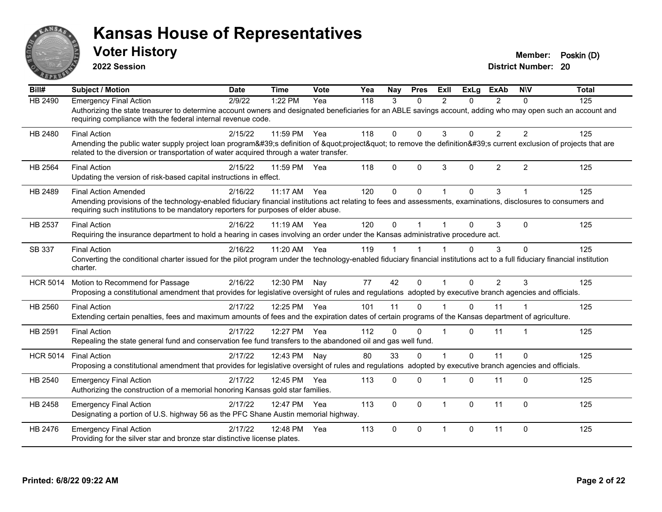

**2022 Session**

**District Number: 20 Voter History Member: Poskin (D)** 

**Bill# Subject / Motion Date Time Vote Yea Nay Pres Exll ExLg ExAb N\V Total** HB 2490 Emergency Final Action 2/9/22 1:22 PM Yea 118 3 0 2 0 2 0 125 Authorizing the state treasurer to determine account owners and designated beneficiaries for an ABLE savings account, adding who may open such an account and requiring compliance with the federal internal revenue code. HB 2480 Final Action 2/15/22 11:59 PM Yea 118 0 0 3 0 2 2 125 Amending the public water supply project loan program's definition of "project" to remove the definition's current exclusion of projects that are related to the diversion or transportation of water acquired through a water transfer. HB 2564 Final Action 2/15/22 11:59 PM Yea 118 0 0 3 0 2 2 125 Updating the version of risk-based capital instructions in effect. HB 2489 Final Action Amended 2016/22 11:17 AM Yea 120 0 0 1 0 3 1 1 125 Amending provisions of the technology-enabled fiduciary financial institutions act relating to fees and assessments, examinations, disclosures to consumers and requiring such institutions to be mandatory reporters for purposes of elder abuse. HB 2537 Final Action 2/16/22 11:19 AM Yea 120 0 1 1 0 3 0 125 Requiring the insurance department to hold a hearing in cases involving an order under the Kansas administrative procedure act. SB 337 Final Action 2/16/22 11:20 AM Yea 119 1 1 1 0 3 0 125 Converting the conditional charter issued for the pilot program under the technology-enabled fiduciary financial institutions act to a full fiduciary financial institution charter. HCR 5014 Motion to Recommend for Passage 2/16/22 12:30 PM Nay 77 42 0 1 0 2 3 125 Proposing a constitutional amendment that provides for legislative oversight of rules and regulations adopted by executive branch agencies and officials. HB 2560 Final Action 2/17/22 12:25 PM Yea 101 11 0 1 0 11 1 125 Extending certain penalties, fees and maximum amounts of fees and the expiration dates of certain programs of the Kansas department of agriculture. HB 2591 Final Action 2/17/22 12:27 PM Yea 112 0 0 1 0 11 1 125 Repealing the state general fund and conservation fee fund transfers to the abandoned oil and gas well fund. HCR 5014 Final Action 2/17/22 12:43 PM Nay 80 33 0 1 0 11 0 125 Proposing a constitutional amendment that provides for legislative oversight of rules and regulations adopted by executive branch agencies and officials. HB 2540 Emergency Final Action 21/17/22 12:45 PM Yea 113 0 0 1 0 11 0 125 Authorizing the construction of a memorial honoring Kansas gold star families. HB 2458 Emergency Final Action  $2/17/22$  12:47 PM Yea 113 0 0 1 0 11 0 125 Designating a portion of U.S. highway 56 as the PFC Shane Austin memorial highway. HB 2476 Emergency Final Action 2/17/22 12:48 PM Yea 113 0 0 1 0 11 0 125 Providing for the silver star and bronze star distinctive license plates.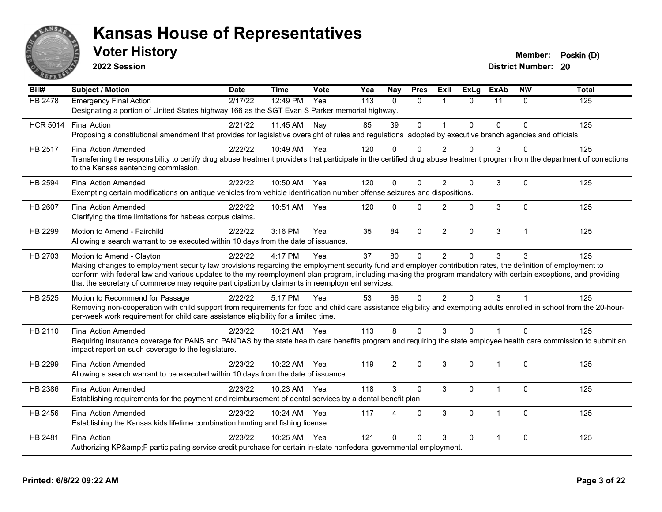

**2022 Session**

| Bill#           | <b>Subject / Motion</b>                                                                                                                                                                                                                                            | <b>Date</b> | <b>Time</b>  | Vote | Yea | Nay            | <b>Pres</b>  | ExII           | <b>ExLg</b> | <b>ExAb</b>    | <b>NIV</b>              | Total |
|-----------------|--------------------------------------------------------------------------------------------------------------------------------------------------------------------------------------------------------------------------------------------------------------------|-------------|--------------|------|-----|----------------|--------------|----------------|-------------|----------------|-------------------------|-------|
| HB 2478         | <b>Emergency Final Action</b>                                                                                                                                                                                                                                      | 2/17/22     | 12:49 PM     | Yea  | 113 | $\Omega$       | $\Omega$     | $\overline{1}$ | $\Omega$    | 11             | $\Omega$                | 125   |
|                 | Designating a portion of United States highway 166 as the SGT Evan S Parker memorial highway.                                                                                                                                                                      |             |              |      |     |                |              |                |             |                |                         |       |
| <b>HCR 5014</b> | <b>Final Action</b>                                                                                                                                                                                                                                                | 2/21/22     | 11:45 AM     | Nay  | 85  | 39             | $\mathbf 0$  | $\overline{1}$ | $\Omega$    | $\Omega$       | $\Omega$                | 125   |
|                 | Proposing a constitutional amendment that provides for legislative oversight of rules and regulations adopted by executive branch agencies and officials.                                                                                                          |             |              |      |     |                |              |                |             |                |                         |       |
| HB 2517         | <b>Final Action Amended</b>                                                                                                                                                                                                                                        | 2/22/22     | 10:49 AM Yea |      | 120 | $\Omega$       | $\Omega$     | $\mathfrak{p}$ | 0           | 3              | $\Omega$                | 125   |
|                 | Transferring the responsibility to certify drug abuse treatment providers that participate in the certified drug abuse treatment program from the department of corrections<br>to the Kansas sentencing commission.                                                |             |              |      |     |                |              |                |             |                |                         |       |
| HB 2594         | <b>Final Action Amended</b>                                                                                                                                                                                                                                        | 2/22/22     | 10:50 AM     | Yea  | 120 | $\Omega$       | $\Omega$     | $\mathfrak{p}$ | 0           | 3              | $\Omega$                | 125   |
|                 | Exempting certain modifications on antique vehicles from vehicle identification number offense seizures and dispositions.                                                                                                                                          |             |              |      |     |                |              |                |             |                |                         |       |
| HB 2607         | <b>Final Action Amended</b>                                                                                                                                                                                                                                        | 2/22/22     | 10:51 AM     | Yea  | 120 | $\Omega$       | $\Omega$     | $\overline{2}$ | 0           | 3              | $\Omega$                | 125   |
|                 | Clarifying the time limitations for habeas corpus claims.                                                                                                                                                                                                          |             |              |      |     |                |              |                |             |                |                         |       |
| HB 2299         | Motion to Amend - Fairchild                                                                                                                                                                                                                                        | 2/22/22     | 3:16 PM      | Yea  | 35  | 84             | $\mathbf{0}$ | $\overline{2}$ | 0           | 3              | $\overline{1}$          | 125   |
|                 | Allowing a search warrant to be executed within 10 days from the date of issuance.                                                                                                                                                                                 |             |              |      |     |                |              |                |             |                |                         |       |
| HB 2703         | Motion to Amend - Clayton                                                                                                                                                                                                                                          | 2/22/22     | 4:17 PM      | Yea  | 37  | 80             | $\mathbf 0$  | $\overline{2}$ | 0           | 3              | 3                       | 125   |
|                 | Making changes to employment security law provisions regarding the employment security fund and employer contribution rates, the definition of employment to                                                                                                       |             |              |      |     |                |              |                |             |                |                         |       |
|                 | conform with federal law and various updates to the my reemployment plan program, including making the program mandatory with certain exceptions, and providing<br>that the secretary of commerce may require participation by claimants in reemployment services. |             |              |      |     |                |              |                |             |                |                         |       |
|                 |                                                                                                                                                                                                                                                                    |             |              |      |     |                |              |                |             |                |                         |       |
| HB 2525         | Motion to Recommend for Passage<br>Removing non-cooperation with child support from requirements for food and child care assistance eligibility and exempting adults enrolled in school from the 20-hour-                                                          | 2/22/22     | 5:17 PM      | Yea  | 53  | 66             | $\Omega$     | $\mathcal{P}$  | $\Omega$    | 3              | $\overline{\mathbf{1}}$ | 125   |
|                 | per-week work requirement for child care assistance eligibility for a limited time.                                                                                                                                                                                |             |              |      |     |                |              |                |             |                |                         |       |
| HB 2110         | <b>Final Action Amended</b>                                                                                                                                                                                                                                        | 2/23/22     | 10:21 AM     | Yea  | 113 | 8              | $\Omega$     | 3              | $\Omega$    |                | $\Omega$                | 125   |
|                 | Requiring insurance coverage for PANS and PANDAS by the state health care benefits program and requiring the state employee health care commission to submit an<br>impact report on such coverage to the legislature.                                              |             |              |      |     |                |              |                |             |                |                         |       |
| HB 2299         | <b>Final Action Amended</b>                                                                                                                                                                                                                                        | 2/23/22     | 10:22 AM     | Yea  | 119 | $\overline{2}$ | $\Omega$     | 3              | 0           | $\overline{1}$ | $\Omega$                | 125   |
|                 | Allowing a search warrant to be executed within 10 days from the date of issuance.                                                                                                                                                                                 |             |              |      |     |                |              |                |             |                |                         |       |
| HB 2386         | <b>Final Action Amended</b>                                                                                                                                                                                                                                        | 2/23/22     | 10:23 AM     | Yea  | 118 | 3              | $\Omega$     | 3              | $\Omega$    | $\mathbf{1}$   | $\Omega$                | 125   |
|                 | Establishing requirements for the payment and reimbursement of dental services by a dental benefit plan.                                                                                                                                                           |             |              |      |     |                |              |                |             |                |                         |       |
| HB 2456         | <b>Final Action Amended</b>                                                                                                                                                                                                                                        | 2/23/22     | 10:24 AM     | Yea  | 117 | $\overline{4}$ | $\Omega$     | 3              | 0           | $\mathbf 1$    | $\mathbf 0$             | 125   |
|                 | Establishing the Kansas kids lifetime combination hunting and fishing license.                                                                                                                                                                                     |             |              |      |     |                |              |                |             |                |                         |       |
| HB 2481         | <b>Final Action</b>                                                                                                                                                                                                                                                | 2/23/22     | 10:25 AM     | Yea  | 121 | $\Omega$       | $\Omega$     | 3              | $\Omega$    | $\mathbf{1}$   | $\mathbf{0}$            | 125   |
|                 | Authorizing KP&F participating service credit purchase for certain in-state nonfederal governmental employment.                                                                                                                                                    |             |              |      |     |                |              |                |             |                |                         |       |
|                 |                                                                                                                                                                                                                                                                    |             |              |      |     |                |              |                |             |                |                         |       |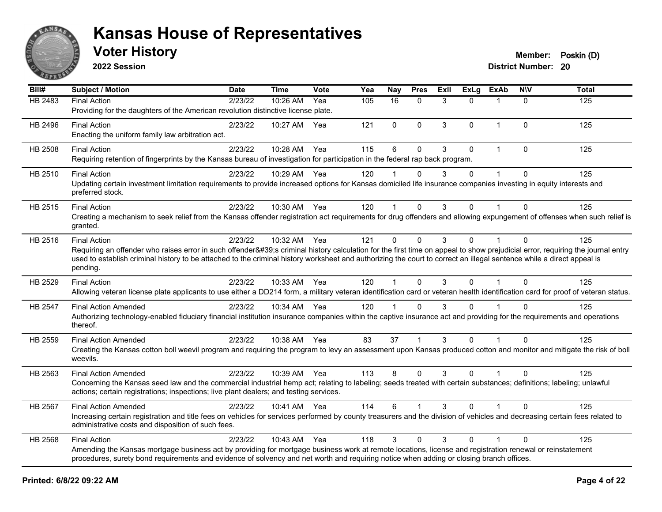

**2022 Session**

| Bill#          | <b>Subject / Motion</b>                                                                                                                                                                                                                                                                                                                                                                | <b>Date</b> | <b>Time</b>  | Vote | Yea | <b>Nay</b>           | <b>Pres</b>  | Exll | <b>ExLg</b> | <b>ExAb</b>    | <b>NIV</b>   | <b>Total</b> |
|----------------|----------------------------------------------------------------------------------------------------------------------------------------------------------------------------------------------------------------------------------------------------------------------------------------------------------------------------------------------------------------------------------------|-------------|--------------|------|-----|----------------------|--------------|------|-------------|----------------|--------------|--------------|
| <b>HB 2483</b> | <b>Final Action</b><br>Providing for the daughters of the American revolution distinctive license plate.                                                                                                                                                                                                                                                                               | 2/23/22     | 10:26 AM     | Yea  | 105 | 16                   | $\mathbf{0}$ | 3    | $\Omega$    | $\mathbf 1$    | $\mathbf{0}$ | 125          |
| HB 2496        | <b>Final Action</b><br>Enacting the uniform family law arbitration act.                                                                                                                                                                                                                                                                                                                | 2/23/22     | 10:27 AM     | Yea  | 121 | 0                    | $\mathbf 0$  | 3    | 0           | $\overline{1}$ | 0            | 125          |
| HB 2508        | <b>Final Action</b><br>Requiring retention of fingerprints by the Kansas bureau of investigation for participation in the federal rap back program.                                                                                                                                                                                                                                    | 2/23/22     | 10:28 AM     | Yea  | 115 | 6                    | $\mathbf 0$  | 3    | $\Omega$    | $\mathbf{1}$   | 0            | 125          |
| HB 2510        | <b>Final Action</b><br>Updating certain investment limitation requirements to provide increased options for Kansas domiciled life insurance companies investing in equity interests and<br>preferred stock.                                                                                                                                                                            | 2/23/22     | 10:29 AM     | Yea  | 120 |                      | $\mathbf{0}$ | 3    | $\Omega$    | $\mathbf{1}$   | $\mathbf{0}$ | 125          |
| HB 2515        | <b>Final Action</b><br>Creating a mechanism to seek relief from the Kansas offender registration act requirements for drug offenders and allowing expungement of offenses when such relief is<br>granted.                                                                                                                                                                              | 2/23/22     | 10:30 AM     | Yea  | 120 | 1                    | $\mathbf{0}$ | 3    | $\Omega$    |                | $\Omega$     | 125          |
| HB 2516        | <b>Final Action</b><br>Requiring an offender who raises error in such offender's criminal history calculation for the first time on appeal to show prejudicial error, requiring the journal entry<br>used to establish criminal history to be attached to the criminal history worksheet and authorizing the court to correct an illegal sentence while a direct appeal is<br>pending. | 2/23/22     | 10:32 AM     | Yea  | 121 | 0                    | $\mathbf 0$  | 3    | $\Omega$    | 1              | $\mathbf{0}$ | 125          |
| HB 2529        | <b>Final Action</b><br>Allowing veteran license plate applicants to use either a DD214 form, a military veteran identification card or veteran health identification card for proof of veteran status.                                                                                                                                                                                 | 2/23/22     | 10:33 AM     | Yea  | 120 | $\blacktriangleleft$ | $\mathbf 0$  | 3    | $\Omega$    |                | $\mathbf{0}$ | 125          |
| HB 2547        | <b>Final Action Amended</b><br>Authorizing technology-enabled fiduciary financial institution insurance companies within the captive insurance act and providing for the requirements and operations<br>thereof.                                                                                                                                                                       | 2/23/22     | 10:34 AM     | Yea  | 120 | $\overline{1}$       | $\mathbf 0$  | 3    | $\Omega$    |                | 0            | 125          |
| HB 2559        | <b>Final Action Amended</b><br>Creating the Kansas cotton boll weevil program and requiring the program to levy an assessment upon Kansas produced cotton and monitor and mitigate the risk of boll<br>weevils.                                                                                                                                                                        | 2/23/22     | 10:38 AM     | Yea  | 83  | 37                   | 1            | 3    | $\Omega$    |                | $\Omega$     | 125          |
| HB 2563        | <b>Final Action Amended</b><br>Concerning the Kansas seed law and the commercial industrial hemp act; relating to labeling; seeds treated with certain substances; definitions; labeling; unlawful<br>actions; certain registrations; inspections; live plant dealers; and testing services.                                                                                           | 2/23/22     | 10:39 AM Yea |      | 113 | 8                    | $\mathbf 0$  | 3    | $\Omega$    | 1              | $\Omega$     | 125          |
| <b>HB 2567</b> | <b>Final Action Amended</b><br>Increasing certain registration and title fees on vehicles for services performed by county treasurers and the division of vehicles and decreasing certain fees related to<br>administrative costs and disposition of such fees.                                                                                                                        | 2/23/22     | 10:41 AM     | Yea  | 114 | 6                    |              | 3    | $\Omega$    |                | $\Omega$     | 125          |
| HB 2568        | <b>Final Action</b><br>Amending the Kansas mortgage business act by providing for mortgage business work at remote locations, license and registration renewal or reinstatement<br>procedures, surety bond requirements and evidence of solvency and net worth and requiring notice when adding or closing branch offices.                                                             | 2/23/22     | 10:43 AM     | Yea  | 118 | 3                    | $\mathbf 0$  | 3    | $\Omega$    | 1              | 0            | 125          |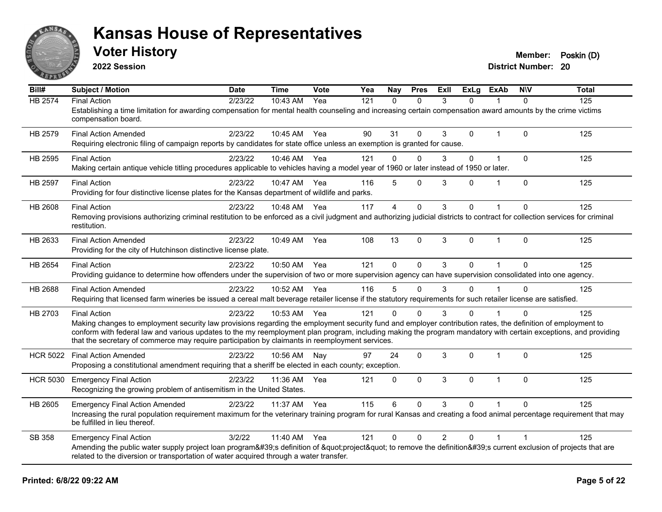

**2022 Session**

**District Number: 20 Voter History Member: Poskin (D)** 

**Bill# Subject / Motion Date Time Vote Yea Nay Pres Exll ExLg ExAb N\V Total** HB 2574 Final Action 2/23/22 10:43 AM Yea 121 0 0 3 0 1 0 125 Establishing a time limitation for awarding compensation for mental health counseling and increasing certain compensation award amounts by the crime victims compensation board. HB 2579 Final Action Amended 2/23/22 10:45 AM Yea 90 31 0 3 0 1 0 125 Requiring electronic filing of campaign reports by candidates for state office unless an exemption is granted for cause. HB 2595 Final Action 2/23/22 10:46 AM Yea 121 0 0 3 0 1 0 125 Making certain antique vehicle titling procedures applicable to vehicles having a model year of 1960 or later instead of 1950 or later. HB 2597 Final Action 2/23/22 10:47 AM Yea 116 5 0 3 0 1 0 125 Providing for four distinctive license plates for the Kansas department of wildlife and parks. HB 2608 Final Action 2/23/22 10:48 AM Yea 117 4 0 3 0 1 0 125 Removing provisions authorizing criminal restitution to be enforced as a civil judgment and authorizing judicial districts to contract for collection services for criminal restitution. HB 2633 Final Action Amended 2/23/22 10:49 AM Yea 108 13 0 3 0 1 0 125 Providing for the city of Hutchinson distinctive license plate. HB 2654 Final Action 2/23/22 10:50 AM Yea 121 0 0 3 0 1 0 125 Providing guidance to determine how offenders under the supervision of two or more supervision agency can have supervision consolidated into one agency. HB 2688 Final Action Amended 2023/22 10:52 AM Yea 116 5 0 3 0 1 0 125 Requiring that licensed farm wineries be issued a cereal malt beverage retailer license if the statutory requirements for such retailer license are satisfied. HB 2703 Final Action 2/23/22 10:53 AM Yea 121 0 0 3 0 1 0 125 Making changes to employment security law provisions regarding the employment security fund and employer contribution rates, the definition of employment to conform with federal law and various updates to the my reemployment plan program, including making the program mandatory with certain exceptions, and providing that the secretary of commerce may require participation by claimants in reemployment services. HCR 5022 Final Action Amended 2023/22 10:56 AM Nay 97 24 0 3 0 1 0 125 Proposing a constitutional amendment requiring that a sheriff be elected in each county; exception. HCR 5030 Emergency Final Action 125 12/23/22 11:36 AM Yea 121 0 0 3 0 1 0 125 Recognizing the growing problem of antisemitism in the United States. HB 2605 Emergency Final Action Amended 2/23/22 11:37 AM Yea 115 6 0 3 0 1 0 125 Increasing the rural population requirement maximum for the veterinary training program for rural Kansas and creating a food animal percentage requirement that may be fulfilled in lieu thereof. SB 358 Emergency Final Action 2012/22 11:40 AM Yea 121 0 0 2 0 1 1 Amending the public water supply project loan program's definition of "project" to remove the definition's current exclusion of projects that are related to the diversion or transportation of water acquired through a water transfer.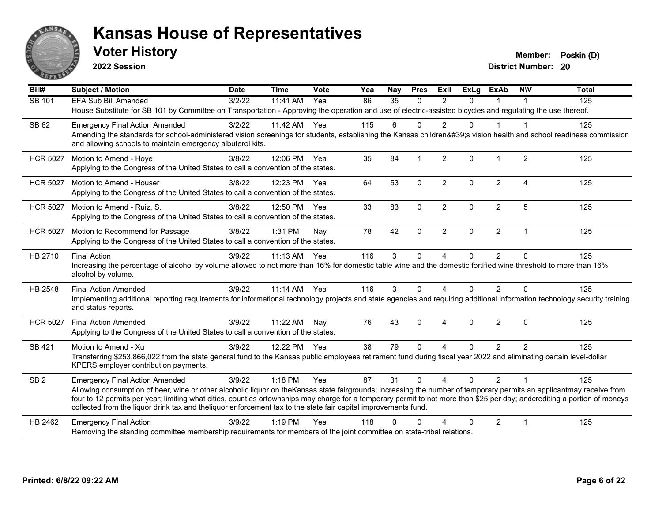

**2022 Session**

**District Number: 20 Voter History Member: Poskin (D)** 

**Bill# Subject / Motion Date Time Vote Yea Nay Pres Exll ExLg ExAb N\V Total** SB 101 FFA Sub Bill Amended 3/2/22 11:41 AM Yea 86 35 0 2 0 1 1 House Substitute for SB 101 by Committee on Transportation - Approving the operation and use of electric-assisted bicycles and regulating the use thereof. SB 62 Emergency Final Action Amended 3/2/22 11:42 AM Yea 115 6 0 2 0 1 1 Amending the standards for school-administered vision screenings for students, establishing the Kansas children's vision health and school readiness commission and allowing schools to maintain emergency albuterol kits. HCR 5027 Motion to Amend - Hoye 3/8/22 12:06 PM Yea 35 84 1 2 0 1 2 125 Applying to the Congress of the United States to call a convention of the states. HCR 5027 Motion to Amend - Houser 3/8/22 12:23 PM Yea 64 53 0 2 0 2 4 125 Applying to the Congress of the United States to call a convention of the states. HCR 5027 Motion to Amend - Ruiz, S. 3/8/22 12:50 PM Yea 33 83 0 2 0 2 5 125 Applying to the Congress of the United States to call a convention of the states. HCR 5027 Motion to Recommend for Passage 3/8/22 1:31 PM Nay 78 42 0 2 0 2 1 1 125 Applying to the Congress of the United States to call a convention of the states. HB 2710 Final Action 3/9/22 11:13 AM Yea 116 3 0 4 0 2 0 125 Increasing the percentage of alcohol by volume allowed to not more than 16% for domestic table wine and the domestic fortified wine threshold to more than 16% alcohol by volume. HB 2548 Final Action Amended 3/9/22 11:14 AM Yea 116 3 0 4 0 2 0 125 Implementing additional reporting requirements for informational technology projects and state agencies and requiring additional information technology security training and status reports. HCR 5027 Final Action Amended 3/9/22 11:22 AM Nay 76 43 0 4 0 2 0 125 Applying to the Congress of the United States to call a convention of the states. SB 421 Motion to Amend - Xu and the State of American case of Alexandria 2012 125 125 125 125 125 125 125 125 Transferring \$253,866,022 from the state general fund to the Kansas public employees retirement fund during fiscal year 2022 and eliminating certain level-dollar KPERS employer contribution payments. SB 2 Emergency Final Action Amended 3/9/22 1:18 PM Yea 87 31 0 4 0 2 1 125 Allowing consumption of beer, wine or other alcoholic liquor on theKansas state fairgrounds; increasing the number of temporary permits an applicantmay receive from four to 12 permits per year; limiting what cities, counties ortownships may charge for a temporary permit to not more than \$25 per day; andcrediting a portion of moneys collected from the liquor drink tax and theliquor enforcement tax to the state fair capital improvements fund. HB 2462 Emergency Final Action 125 (3/9/22 1:19 PM Yea 118 0 0 4 0 2 1 125 Removing the standing committee membership requirements for members of the joint committee on state-tribal relations.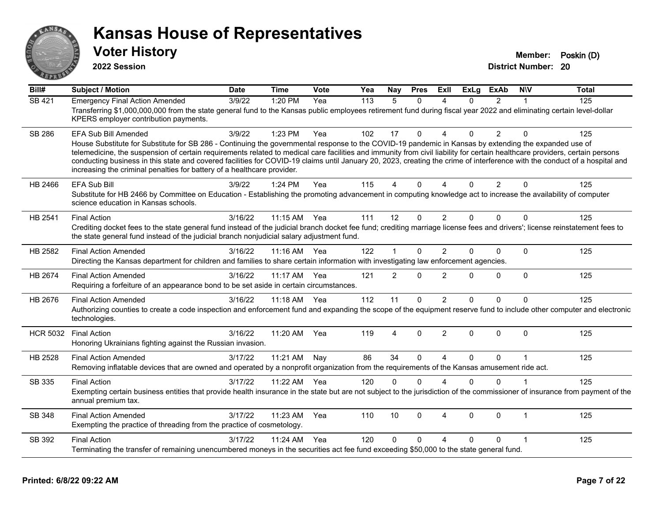

**2022 Session**

**Voter History Member: Poskin (D)** 

**District Number: 20**

| Bill#           | <b>Subject / Motion</b>                                                                                                                                                                                                                                                                                                                                                                                                                                                                                                                                                                                                      | <b>Date</b> | <b>Time</b> | Vote | Yea | Nay            | <b>Pres</b>  | ExIl           | <b>ExLg</b> | <b>ExAb</b>    | <b>NIV</b>   | <b>Total</b> |
|-----------------|------------------------------------------------------------------------------------------------------------------------------------------------------------------------------------------------------------------------------------------------------------------------------------------------------------------------------------------------------------------------------------------------------------------------------------------------------------------------------------------------------------------------------------------------------------------------------------------------------------------------------|-------------|-------------|------|-----|----------------|--------------|----------------|-------------|----------------|--------------|--------------|
| <b>SB 421</b>   | <b>Emergency Final Action Amended</b><br>Transferring \$1,000,000,000 from the state general fund to the Kansas public employees retirement fund during fiscal year 2022 and eliminating certain level-dollar<br>KPERS employer contribution payments.                                                                                                                                                                                                                                                                                                                                                                       | 3/9/22      | 1:20 PM     | Yea  | 113 | 5              | $\mathbf{0}$ | 4              | 0           | $\overline{2}$ |              | 125          |
| <b>SB 286</b>   | <b>EFA Sub Bill Amended</b><br>House Substitute for Substitute for SB 286 - Continuing the governmental response to the COVID-19 pandemic in Kansas by extending the expanded use of<br>telemedicine, the suspension of certain requirements related to medical care facilities and immunity from civil liability for certain healthcare providers, certain persons<br>conducting business in this state and covered facilities for COVID-19 claims until January 20, 2023, creating the crime of interference with the conduct of a hospital and<br>increasing the criminal penalties for battery of a healthcare provider. | 3/9/22      | 1:23 PM     | Yea  | 102 | 17             | $\mathbf{0}$ | $\Delta$       | 0           | 2              | $\mathbf{0}$ | 125          |
| HB 2466         | <b>EFA Sub Bill</b><br>Substitute for HB 2466 by Committee on Education - Establishing the promoting advancement in computing knowledge act to increase the availability of computer<br>science education in Kansas schools.                                                                                                                                                                                                                                                                                                                                                                                                 | 3/9/22      | $1:24$ PM   | Yea  | 115 | 4              | $\Omega$     |                | 0           | $\overline{2}$ | $\Omega$     | 125          |
| HB 2541         | <b>Final Action</b><br>Crediting docket fees to the state general fund instead of the judicial branch docket fee fund; crediting marriage license fees and drivers'; license reinstatement fees to<br>the state general fund instead of the judicial branch nonjudicial salary adjustment fund.                                                                                                                                                                                                                                                                                                                              | 3/16/22     | $11:15$ AM  | Yea  | 111 | 12             | $\Omega$     | 2              | 0           | $\Omega$       | $\Omega$     | 125          |
| HB 2582         | <b>Final Action Amended</b><br>Directing the Kansas department for children and families to share certain information with investigating law enforcement agencies.                                                                                                                                                                                                                                                                                                                                                                                                                                                           | 3/16/22     | $11:16$ AM  | Yea  | 122 | $\mathbf 1$    | $\Omega$     | $\overline{2}$ | 0           | $\Omega$       | $\Omega$     | 125          |
| HB 2674         | <b>Final Action Amended</b><br>Requiring a forfeiture of an appearance bond to be set aside in certain circumstances.                                                                                                                                                                                                                                                                                                                                                                                                                                                                                                        | 3/16/22     | 11:17 AM    | Yea  | 121 | $\overline{2}$ | $\Omega$     | $\overline{2}$ | 0           | $\mathbf 0$    | $\mathbf{0}$ | 125          |
| HB 2676         | <b>Final Action Amended</b><br>Authorizing counties to create a code inspection and enforcement fund and expanding the scope of the equipment reserve fund to include other computer and electronic<br>technologies.                                                                                                                                                                                                                                                                                                                                                                                                         | 3/16/22     | $11:18$ AM  | Yea  | 112 | 11             | $\Omega$     | $\overline{2}$ | 0           | $\Omega$       | $\Omega$     | 125          |
| <b>HCR 5032</b> | <b>Final Action</b><br>Honoring Ukrainians fighting against the Russian invasion.                                                                                                                                                                                                                                                                                                                                                                                                                                                                                                                                            | 3/16/22     | 11:20 AM    | Yea  | 119 | 4              | $\Omega$     | $\overline{2}$ | 0           | $\Omega$       | $\mathbf{0}$ | 125          |
| HB 2528         | <b>Final Action Amended</b><br>Removing inflatable devices that are owned and operated by a nonprofit organization from the requirements of the Kansas amusement ride act.                                                                                                                                                                                                                                                                                                                                                                                                                                                   | 3/17/22     | 11:21 AM    | Nay  | 86  | 34             | $\Omega$     | $\Delta$       | 0           | $\Omega$       |              | 125          |
| SB 335          | <b>Final Action</b><br>Exempting certain business entities that provide health insurance in the state but are not subject to the jurisdiction of the commissioner of insurance from payment of the<br>annual premium tax.                                                                                                                                                                                                                                                                                                                                                                                                    | 3/17/22     | 11:22 AM    | Yea  | 120 | 0              | $\Omega$     | $\Delta$       | 0           | $\Omega$       |              | 125          |
| <b>SB 348</b>   | <b>Final Action Amended</b><br>Exempting the practice of threading from the practice of cosmetology.                                                                                                                                                                                                                                                                                                                                                                                                                                                                                                                         | 3/17/22     | 11:23 AM    | Yea  | 110 | 10             | $\Omega$     | $\overline{4}$ | $\Omega$    | $\Omega$       | $\mathbf 1$  | 125          |
| SB 392          | <b>Final Action</b><br>Terminating the transfer of remaining unencumbered moneys in the securities act fee fund exceeding \$50,000 to the state general fund.                                                                                                                                                                                                                                                                                                                                                                                                                                                                | 3/17/22     | 11:24 AM    | Yea  | 120 | $\Omega$       | $\Omega$     | $\Delta$       | 0           | 0              |              | 125          |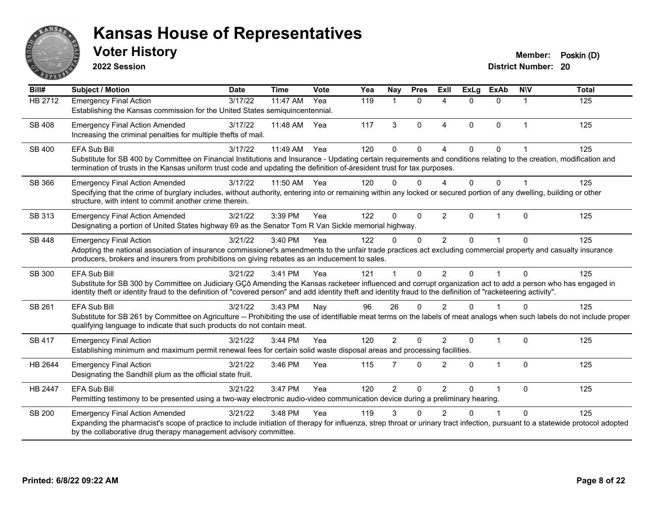

**2022 Session**

| Bill#          | <b>Subject / Motion</b>                                                                                                                                                                                                                                                                                                                               | <b>Date</b> | <b>Time</b> | Vote | Yea | Nay            | <b>Pres</b>  | <b>ExII</b>            | <b>ExLg</b> | <b>ExAb</b>    | <b>NIV</b>     | <b>Total</b> |
|----------------|-------------------------------------------------------------------------------------------------------------------------------------------------------------------------------------------------------------------------------------------------------------------------------------------------------------------------------------------------------|-------------|-------------|------|-----|----------------|--------------|------------------------|-------------|----------------|----------------|--------------|
| HB 2712        | <b>Emergency Final Action</b><br>Establishing the Kansas commission for the United States semiquincentennial.                                                                                                                                                                                                                                         | 3/17/22     | 11:47 AM    | Yea  | 119 | 1              | $\Omega$     | 4                      | 0           | 0              | 1              | 125          |
| SB 408         | <b>Emergency Final Action Amended</b><br>Increasing the criminal penalties for multiple thefts of mail.                                                                                                                                                                                                                                               | 3/17/22     | 11:48 AM    | Yea  | 117 | 3              | $\Omega$     | $\boldsymbol{\Lambda}$ | $\Omega$    | $\Omega$       | $\overline{1}$ | 125          |
| SB 400         | <b>EFA Sub Bill</b><br>Substitute for SB 400 by Committee on Financial Institutions and Insurance - Updating certain requirements and conditions relating to the creation, modification and<br>termination of trusts in the Kansas uniform trust code and updating the definition of-áresident trust for tax purposes.                                | 3/17/22     | 11:49 AM    | Yea  | 120 | $\Omega$       | $\Omega$     | $\boldsymbol{\Lambda}$ | $\Omega$    | $\Omega$       |                | 125          |
| SB 366         | <b>Emergency Final Action Amended</b><br>Specifying that the crime of burglary includes, without authority, entering into or remaining within any locked or secured portion of any dwelling, building or other<br>structure, with intent to commit another crime therein.                                                                             | 3/17/22     | 11:50 AM    | Yea  | 120 | $\Omega$       | $\Omega$     |                        | 0           | 0              |                | 125          |
| SB 313         | <b>Emergency Final Action Amended</b><br>Designating a portion of United States highway 69 as the Senator Tom R Van Sickle memorial highway.                                                                                                                                                                                                          | 3/21/22     | 3:39 PM     | Yea  | 122 | $\Omega$       | $\Omega$     | 2                      | $\Omega$    | $\overline{1}$ | $\Omega$       | 125          |
| <b>SB 448</b>  | <b>Emergency Final Action</b><br>Adopting the national association of insurance commissioner's amendments to the unfair trade practices act excluding commercial property and casualty insurance<br>producers, brokers and insurers from prohibitions on giving rebates as an inducement to sales.                                                    | 3/21/22     | 3:40 PM     | Yea  | 122 | 0              | $\mathbf{0}$ | $\overline{2}$         | 0           |                | $\Omega$       | 125          |
| SB 300         | <b>EFA Sub Bill</b><br>Substitute for SB 300 by Committee on Judiciary GCô Amending the Kansas racketeer influenced and corrupt organization act to add a person who has engaged in<br>identity theft or identity fraud to the definition of "covered person" and add identity theft and identity fraud to the definition of "racketeering activity". | 3/21/22     | $3:41$ PM   | Yea  | 121 |                | $\Omega$     | $\mathcal{P}$          | $\Omega$    |                | $\Omega$       | 125          |
| SB 261         | EFA Sub Bill<br>Substitute for SB 261 by Committee on Agriculture -- Prohibiting the use of identifiable meat terms on the labels of meat analogs when such labels do not include proper<br>qualifying language to indicate that such products do not contain meat.                                                                                   | 3/21/22     | 3:43 PM     | Nay  | 96  | 26             | $\Omega$     | $\mathcal{P}$          | U           |                | ∩              | 125          |
| <b>SB 417</b>  | <b>Emergency Final Action</b><br>Establishing minimum and maximum permit renewal fees for certain solid waste disposal areas and processing facilities.                                                                                                                                                                                               | 3/21/22     | 3:44 PM     | Yea  | 120 | $\overline{2}$ | $\Omega$     | $\mathcal{P}$          | $\Omega$    | $\overline{1}$ | $\Omega$       | 125          |
| HB 2644        | <b>Emergency Final Action</b><br>Designating the Sandhill plum as the official state fruit.                                                                                                                                                                                                                                                           | 3/21/22     | 3:46 PM     | Yea  | 115 | $\overline{7}$ | $\mathbf 0$  | $\overline{2}$         | $\Omega$    | $\mathbf{1}$   | $\mathbf{0}$   | 125          |
| <b>HB 2447</b> | <b>EFA Sub Bill</b><br>Permitting testimony to be presented using a two-way electronic audio-video communication device during a preliminary hearing.                                                                                                                                                                                                 | 3/21/22     | 3:47 PM     | Yea  | 120 | $\overline{2}$ | $\mathbf{0}$ | 2                      | $\Omega$    | $\overline{1}$ | $\Omega$       | 125          |
| <b>SB 200</b>  | <b>Emergency Final Action Amended</b><br>Expanding the pharmacist's scope of practice to include initiation of therapy for influenza, strep throat or urinary tract infection, pursuant to a statewide protocol adopted<br>by the collaborative drug therapy management advisory committee.                                                           | 3/21/22     | 3:48 PM     | Yea  | 119 | 3              | 0            | $\mathfrak{p}$         | 0           |                | $\Omega$       | 125          |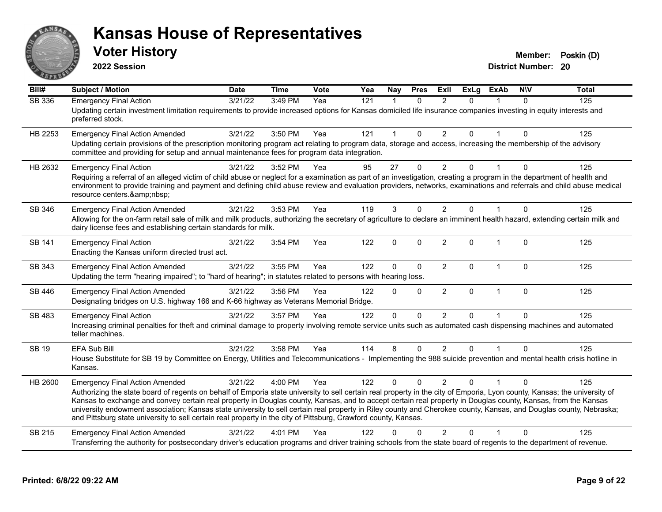

**2022 Session**

| Bill#         | <b>Subject / Motion</b>                                                                                                                                                                                                                                                                                                                                                                                                                                                                                                                                                                                                                                                      | <b>Date</b> | <b>Time</b> | Vote | Yea | Nay            | <b>Pres</b>  | ExII           | <b>ExLg</b>  | <b>ExAb</b>  | <b>NIV</b> | Total |
|---------------|------------------------------------------------------------------------------------------------------------------------------------------------------------------------------------------------------------------------------------------------------------------------------------------------------------------------------------------------------------------------------------------------------------------------------------------------------------------------------------------------------------------------------------------------------------------------------------------------------------------------------------------------------------------------------|-------------|-------------|------|-----|----------------|--------------|----------------|--------------|--------------|------------|-------|
| SB 336        | <b>Emergency Final Action</b><br>Updating certain investment limitation requirements to provide increased options for Kansas domiciled life insurance companies investing in equity interests and<br>preferred stock.                                                                                                                                                                                                                                                                                                                                                                                                                                                        | 3/21/22     | 3:49 PM     | Yea  | 121 |                | $\Omega$     | 2              | $\Omega$     |              | $\Omega$   | 125   |
| HB 2253       | <b>Emergency Final Action Amended</b><br>Updating certain provisions of the prescription monitoring program act relating to program data, storage and access, increasing the membership of the advisory<br>committee and providing for setup and annual maintenance fees for program data integration.                                                                                                                                                                                                                                                                                                                                                                       | 3/21/22     | 3:50 PM     | Yea  | 121 | $\overline{1}$ | $\Omega$     | $\overline{2}$ | $\Omega$     | $\mathbf{1}$ | $\Omega$   | 125   |
| HB 2632       | <b>Emergency Final Action</b><br>Requiring a referral of an alleged victim of child abuse or neglect for a examination as part of an investigation, creating a program in the department of health and<br>environment to provide training and payment and defining child abuse review and evaluation providers, networks, examinations and referrals and child abuse medical<br>resource centers.                                                                                                                                                                                                                                                                            | 3/21/22     | 3:52 PM     | Yea  | 95  | 27             | 0            | $\overline{2}$ | $\Omega$     |              | $\Omega$   | 125   |
| SB 346        | <b>Emergency Final Action Amended</b><br>Allowing for the on-farm retail sale of milk and milk products, authorizing the secretary of agriculture to declare an imminent health hazard, extending certain milk and<br>dairy license fees and establishing certain standards for milk.                                                                                                                                                                                                                                                                                                                                                                                        | 3/21/22     | 3:53 PM     | Yea  | 119 | 3              | $\Omega$     | 2              | $\Omega$     |              | $\Omega$   | 125   |
| <b>SB 141</b> | <b>Emergency Final Action</b><br>Enacting the Kansas uniform directed trust act.                                                                                                                                                                                                                                                                                                                                                                                                                                                                                                                                                                                             | 3/21/22     | 3:54 PM     | Yea  | 122 | $\mathbf 0$    | $\mathbf 0$  | $\overline{2}$ | $\Omega$     | $\mathbf{1}$ | $\Omega$   | 125   |
| SB 343        | <b>Emergency Final Action Amended</b><br>Updating the term "hearing impaired"; to "hard of hearing"; in statutes related to persons with hearing loss.                                                                                                                                                                                                                                                                                                                                                                                                                                                                                                                       | 3/21/22     | 3:55 PM     | Yea  | 122 | $\Omega$       | $\Omega$     | 2              | $\Omega$     | $\mathbf 1$  | $\Omega$   | 125   |
| <b>SB 446</b> | <b>Emergency Final Action Amended</b><br>Designating bridges on U.S. highway 166 and K-66 highway as Veterans Memorial Bridge.                                                                                                                                                                                                                                                                                                                                                                                                                                                                                                                                               | 3/21/22     | 3:56 PM     | Yea  | 122 | $\Omega$       | $\Omega$     | $\overline{2}$ | $\mathbf{0}$ | $\mathbf{1}$ | $\Omega$   | 125   |
| SB 483        | <b>Emergency Final Action</b><br>Increasing criminal penalties for theft and criminal damage to property involving remote service units such as automated cash dispensing machines and automated<br>teller machines.                                                                                                                                                                                                                                                                                                                                                                                                                                                         | 3/21/22     | 3:57 PM     | Yea  | 122 | $\Omega$       | $\mathbf{0}$ | $\overline{2}$ | $\Omega$     |              | $\Omega$   | 125   |
| <b>SB 19</b>  | EFA Sub Bill<br>House Substitute for SB 19 by Committee on Energy, Utilities and Telecommunications - Implementing the 988 suicide prevention and mental health crisis hotline in<br>Kansas.                                                                                                                                                                                                                                                                                                                                                                                                                                                                                 | 3/21/22     | 3:58 PM     | Yea  | 114 | 8              | $\mathbf{0}$ | $\overline{2}$ | $\Omega$     |              | $\Omega$   | 125   |
| HB 2600       | <b>Emergency Final Action Amended</b><br>Authorizing the state board of regents on behalf of Emporia state university to sell certain real property in the city of Emporia, Lyon county, Kansas; the university of<br>Kansas to exchange and convey certain real property in Douglas county, Kansas, and to accept certain real property in Douglas county, Kansas, from the Kansas<br>university endowment association; Kansas state university to sell certain real property in Riley county and Cherokee county, Kansas, and Douglas county, Nebraska;<br>and Pittsburg state university to sell certain real property in the city of Pittsburg, Crawford county, Kansas. | 3/21/22     | 4:00 PM     | Yea  | 122 | $\Omega$       | $\Omega$     | $\overline{2}$ | $\Omega$     |              | $\Omega$   | 125   |
| SB 215        | <b>Emergency Final Action Amended</b><br>Transferring the authority for postsecondary driver's education programs and driver training schools from the state board of regents to the department of revenue.                                                                                                                                                                                                                                                                                                                                                                                                                                                                  | 3/21/22     | 4:01 PM     | Yea  | 122 | ∩              | U            | $\mathcal{P}$  | U            |              | $\Omega$   | 125   |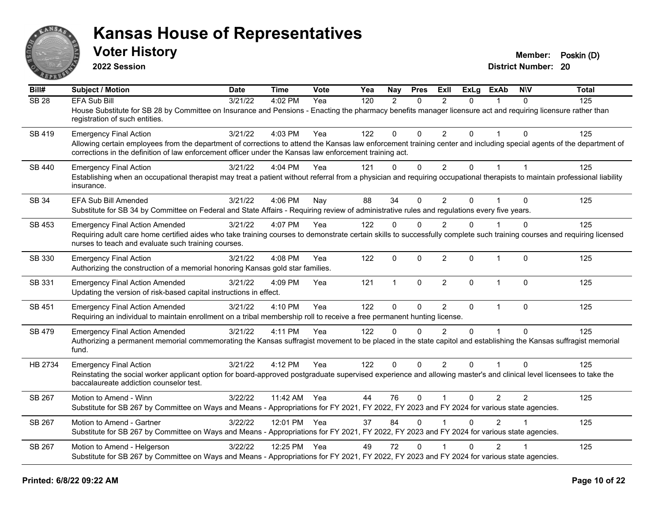

**2022 Session**

**Voter History Member: Poskin (D)** 

**District Number: 20**

| Bill#        | Subject / Motion                                                                                                                                                                                                                                                                | <b>Date</b> | <b>Time</b>  | <b>Vote</b> | Yea | Nay            | <b>Pres</b>  | ExII           | ExLg     | ExAb           | <b>NIV</b>     | <b>Total</b> |
|--------------|---------------------------------------------------------------------------------------------------------------------------------------------------------------------------------------------------------------------------------------------------------------------------------|-------------|--------------|-------------|-----|----------------|--------------|----------------|----------|----------------|----------------|--------------|
| <b>SB 28</b> | <b>EFA Sub Bill</b>                                                                                                                                                                                                                                                             | 3/21/22     | 4:02 PM      | Yea         | 120 | $\overline{2}$ | $\Omega$     | $\mathcal{P}$  | $\Omega$ |                | $\Omega$       | 125          |
|              | House Substitute for SB 28 by Committee on Insurance and Pensions - Enacting the pharmacy benefits manager licensure act and requiring licensure rather than<br>registration of such entities.                                                                                  |             |              |             |     |                |              |                |          |                |                |              |
| SB 419       | <b>Emergency Final Action</b>                                                                                                                                                                                                                                                   | 3/21/22     | 4:03 PM      | Yea         | 122 | $\mathbf 0$    | $\Omega$     | $\mathcal{P}$  | $\Omega$ |                | $\Omega$       | 125          |
|              | Allowing certain employees from the department of corrections to attend the Kansas law enforcement training center and including special agents of the department of<br>corrections in the definition of law enforcement officer under the Kansas law enforcement training act. |             |              |             |     |                |              |                |          |                |                |              |
| SB 440       | <b>Emergency Final Action</b>                                                                                                                                                                                                                                                   | 3/21/22     | 4:04 PM      | Yea         | 121 | $\Omega$       | $\mathbf{0}$ | $\overline{2}$ | 0        |                | $\overline{1}$ | 125          |
|              | Establishing when an occupational therapist may treat a patient without referral from a physician and requiring occupational therapists to maintain professional liability<br>insurance.                                                                                        |             |              |             |     |                |              |                |          |                |                |              |
| <b>SB 34</b> | <b>EFA Sub Bill Amended</b>                                                                                                                                                                                                                                                     | 3/21/22     | 4:06 PM      | Nay         | 88  | 34             | $\Omega$     | $\overline{2}$ | $\Omega$ |                | $\Omega$       | 125          |
|              | Substitute for SB 34 by Committee on Federal and State Affairs - Requiring review of administrative rules and regulations every five years.                                                                                                                                     |             |              |             |     |                |              |                |          |                |                |              |
| SB 453       | <b>Emergency Final Action Amended</b>                                                                                                                                                                                                                                           | 3/21/22     | 4:07 PM      | Yea         | 122 | $\mathbf{0}$   | $\Omega$     | $\overline{2}$ | $\Omega$ |                | $\Omega$       | 125          |
|              | Requiring adult care home certified aides who take training courses to demonstrate certain skills to successfully complete such training courses and requiring licensed<br>nurses to teach and evaluate such training courses.                                                  |             |              |             |     |                |              |                |          |                |                |              |
| SB 330       | <b>Emergency Final Action</b>                                                                                                                                                                                                                                                   | 3/21/22     | 4:08 PM      | Yea         | 122 | $\mathbf 0$    | $\mathbf{0}$ | $\overline{2}$ | $\Omega$ | $\overline{1}$ | $\Omega$       | 125          |
|              | Authorizing the construction of a memorial honoring Kansas gold star families.                                                                                                                                                                                                  |             |              |             |     |                |              |                |          |                |                |              |
| SB 331       | <b>Emergency Final Action Amended</b><br>Updating the version of risk-based capital instructions in effect.                                                                                                                                                                     | 3/21/22     | 4:09 PM      | Yea         | 121 | $\mathbf{1}$   | $\mathbf{0}$ | $\overline{2}$ | $\Omega$ | $\mathbf 1$    | $\Omega$       | 125          |
| SB 451       | <b>Emergency Final Action Amended</b>                                                                                                                                                                                                                                           | 3/21/22     | 4:10 PM      | Yea         | 122 | $\Omega$       | $\mathbf{0}$ | $\overline{2}$ | $\Omega$ | $\mathbf{1}$   | $\Omega$       | 125          |
|              | Requiring an individual to maintain enrollment on a tribal membership roll to receive a free permanent hunting license.                                                                                                                                                         |             |              |             |     |                |              |                |          |                |                |              |
| SB 479       | <b>Emergency Final Action Amended</b>                                                                                                                                                                                                                                           | 3/21/22     | 4:11 PM      | Yea         | 122 | $\Omega$       | $\Omega$     | $\mathcal{P}$  | $\Omega$ | $\mathbf{1}$   | $\Omega$       | 125          |
|              | Authorizing a permanent memorial commemorating the Kansas suffragist movement to be placed in the state capitol and establishing the Kansas suffragist memorial<br>fund.                                                                                                        |             |              |             |     |                |              |                |          |                |                |              |
| HB 2734      | <b>Emergency Final Action</b>                                                                                                                                                                                                                                                   | 3/21/22     | 4:12 PM      | Yea         | 122 | $\mathbf{0}$   | $\mathbf 0$  | $\overline{2}$ | $\Omega$ |                | $\Omega$       | 125          |
|              | Reinstating the social worker applicant option for board-approved postgraduate supervised experience and allowing master's and clinical level licensees to take the<br>baccalaureate addiction counselor test.                                                                  |             |              |             |     |                |              |                |          |                |                |              |
| SB 267       | Motion to Amend - Winn<br>Substitute for SB 267 by Committee on Ways and Means - Appropriations for FY 2021, FY 2022, FY 2023 and FY 2024 for various state agencies.                                                                                                           | 3/22/22     | 11:42 AM Yea |             | 44  | 76             | $\mathbf 0$  | $\mathbf{1}$   | 0        | $\overline{2}$ | $\overline{2}$ | 125          |
|              |                                                                                                                                                                                                                                                                                 |             |              |             |     |                |              |                |          | $\mathcal{P}$  |                |              |
| SB 267       | Motion to Amend - Gartner<br>Substitute for SB 267 by Committee on Ways and Means - Appropriations for FY 2021, FY 2022, FY 2023 and FY 2024 for various state agencies.                                                                                                        | 3/22/22     | 12:01 PM Yea |             | 37  | 84             | $\Omega$     |                | $\Omega$ |                |                | 125          |
|              |                                                                                                                                                                                                                                                                                 |             |              |             |     |                |              |                |          |                |                |              |
| SB 267       | Motion to Amend - Helgerson<br>Substitute for SB 267 by Committee on Ways and Means - Appropriations for FY 2021, FY 2022, FY 2023 and FY 2024 for various state agencies.                                                                                                      | 3/22/22     | 12:25 PM Yea |             | 49  | 72             | $\Omega$     |                | $\Omega$ | $\overline{2}$ |                | 125          |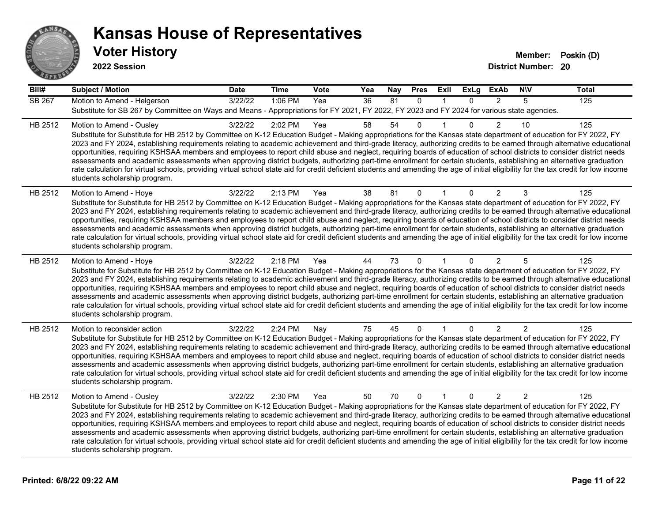

| Bill#         | Subject / Motion                                                                                                                                                                                                                                                                                                                                                                                                                                                                                                                                                                                                                                                                                                                                                                                                                                                                                                                                    | <b>Date</b> | <b>Time</b> | Vote | Yea | Nay             | <b>Pres</b>  | Exll         | <b>ExLg</b>  | <b>ExAb</b>    | <b>NIV</b>     | <b>Total</b> |
|---------------|-----------------------------------------------------------------------------------------------------------------------------------------------------------------------------------------------------------------------------------------------------------------------------------------------------------------------------------------------------------------------------------------------------------------------------------------------------------------------------------------------------------------------------------------------------------------------------------------------------------------------------------------------------------------------------------------------------------------------------------------------------------------------------------------------------------------------------------------------------------------------------------------------------------------------------------------------------|-------------|-------------|------|-----|-----------------|--------------|--------------|--------------|----------------|----------------|--------------|
| <b>SB 267</b> | Motion to Amend - Helgerson<br>Substitute for SB 267 by Committee on Ways and Means - Appropriations for FY 2021, FY 2022, FY 2023 and FY 2024 for various state agencies.                                                                                                                                                                                                                                                                                                                                                                                                                                                                                                                                                                                                                                                                                                                                                                          | 3/22/22     | 1:06 PM     | Yea  | 36  | $\overline{81}$ | $\mathbf{0}$ | $\mathbf{1}$ | $\Omega$     | $\overline{2}$ | 5              | 125          |
| HB 2512       | Motion to Amend - Ousley<br>Substitute for Substitute for HB 2512 by Committee on K-12 Education Budget - Making appropriations for the Kansas state department of education for FY 2022, FY<br>2023 and FY 2024, establishing requirements relating to academic achievement and third-grade literacy, authorizing credits to be earned through alternative educational<br>opportunities, requiring KSHSAA members and employees to report child abuse and neglect, requiring boards of education of school districts to consider district needs<br>assessments and academic assessments when approving district budgets, authorizing part-time enrollment for certain students, establishing an alternative graduation<br>rate calculation for virtual schools, providing virtual school state aid for credit deficient students and amending the age of initial eligibility for the tax credit for low income<br>students scholarship program.    | 3/22/22     | 2:02 PM     | Yea  | 58  | 54              | $\mathbf 0$  |              | $\Omega$     | $\overline{2}$ | 10             | 125          |
| HB 2512       | Motion to Amend - Hoye<br>Substitute for Substitute for HB 2512 by Committee on K-12 Education Budget - Making appropriations for the Kansas state department of education for FY 2022, FY<br>2023 and FY 2024, establishing requirements relating to academic achievement and third-grade literacy, authorizing credits to be earned through alternative educational<br>opportunities, requiring KSHSAA members and employees to report child abuse and neglect, requiring boards of education of school districts to consider district needs<br>assessments and academic assessments when approving district budgets, authorizing part-time enrollment for certain students, establishing an alternative graduation<br>rate calculation for virtual schools, providing virtual school state aid for credit deficient students and amending the age of initial eligibility for the tax credit for low income<br>students scholarship program.      | 3/22/22     | 2:13 PM     | Yea  | 38  | 81              | 0            |              | 0            | 2              | 3              | 125          |
| HB 2512       | Motion to Amend - Hoye<br>Substitute for Substitute for HB 2512 by Committee on K-12 Education Budget - Making appropriations for the Kansas state department of education for FY 2022, FY<br>2023 and FY 2024, establishing requirements relating to academic achievement and third-grade literacy, authorizing credits to be earned through alternative educational<br>opportunities, requiring KSHSAA members and employees to report child abuse and neglect, requiring boards of education of school districts to consider district needs<br>assessments and academic assessments when approving district budgets, authorizing part-time enrollment for certain students, establishing an alternative graduation<br>rate calculation for virtual schools, providing virtual school state aid for credit deficient students and amending the age of initial eligibility for the tax credit for low income<br>students scholarship program.      | 3/22/22     | 2:18 PM     | Yea  | 44  | 73              | $\mathbf 0$  |              | $\Omega$     | 2              | 5              | 125          |
| HB 2512       | Motion to reconsider action<br>Substitute for Substitute for HB 2512 by Committee on K-12 Education Budget - Making appropriations for the Kansas state department of education for FY 2022, FY<br>2023 and FY 2024, establishing requirements relating to academic achievement and third-grade literacy, authorizing credits to be earned through alternative educational<br>opportunities, requiring KSHSAA members and employees to report child abuse and neglect, requiring boards of education of school districts to consider district needs<br>assessments and academic assessments when approving district budgets, authorizing part-time enrollment for certain students, establishing an alternative graduation<br>rate calculation for virtual schools, providing virtual school state aid for credit deficient students and amending the age of initial eligibility for the tax credit for low income<br>students scholarship program. | 3/22/22     | 2:24 PM     | Nay  | 75  | 45              | 0            |              | $\Omega$     | $\overline{2}$ | 2              | 125          |
| HB 2512       | Motion to Amend - Ousley<br>Substitute for Substitute for HB 2512 by Committee on K-12 Education Budget - Making appropriations for the Kansas state department of education for FY 2022, FY<br>2023 and FY 2024, establishing requirements relating to academic achievement and third-grade literacy, authorizing credits to be earned through alternative educational<br>opportunities, requiring KSHSAA members and employees to report child abuse and neglect, requiring boards of education of school districts to consider district needs<br>assessments and academic assessments when approving district budgets, authorizing part-time enrollment for certain students, establishing an alternative graduation<br>rate calculation for virtual schools, providing virtual school state aid for credit deficient students and amending the age of initial eligibility for the tax credit for low income<br>students scholarship program.    | 3/22/22     | 2:30 PM     | Yea  | 50  | 70              | $\mathbf 0$  | $\mathbf{1}$ | $\mathbf{0}$ | $\overline{2}$ | $\overline{2}$ | 125          |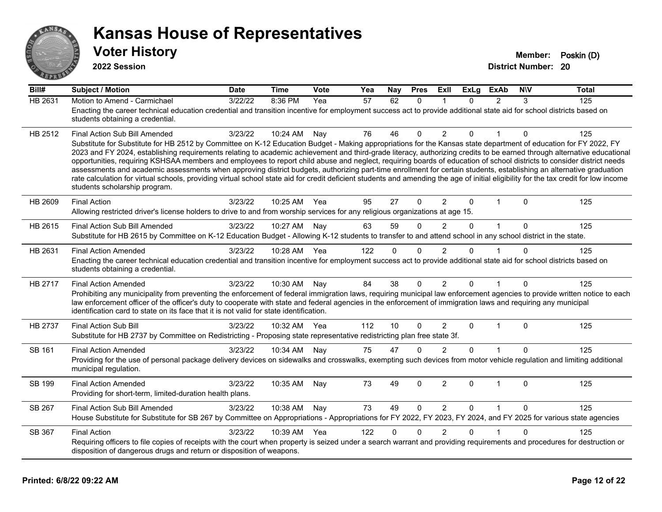

| Bill#         | <b>Subject / Motion</b>                                                                                                                                                                                                                                                                                                                                                                                                                                                                                                                                                                                                                                                                                                                                                                                                                                                                                                                               | <b>Date</b> | <b>Time</b> | Vote | Yea | Nay      | <b>Pres</b>  | ExII           | ExLg     | <b>ExAb</b>  | <b>NIV</b>   | <b>Total</b> |
|---------------|-------------------------------------------------------------------------------------------------------------------------------------------------------------------------------------------------------------------------------------------------------------------------------------------------------------------------------------------------------------------------------------------------------------------------------------------------------------------------------------------------------------------------------------------------------------------------------------------------------------------------------------------------------------------------------------------------------------------------------------------------------------------------------------------------------------------------------------------------------------------------------------------------------------------------------------------------------|-------------|-------------|------|-----|----------|--------------|----------------|----------|--------------|--------------|--------------|
| HB 2631       | Motion to Amend - Carmichael<br>Enacting the career technical education credential and transition incentive for employment success act to provide additional state aid for school districts based on<br>students obtaining a credential.                                                                                                                                                                                                                                                                                                                                                                                                                                                                                                                                                                                                                                                                                                              | 3/22/22     | 8:36 PM     | Yea  | 57  | 62       | $\Omega$     |                | $\Omega$ | 2            | 3            | 125          |
| HB 2512       | Final Action Sub Bill Amended<br>Substitute for Substitute for HB 2512 by Committee on K-12 Education Budget - Making appropriations for the Kansas state department of education for FY 2022, FY<br>2023 and FY 2024, establishing requirements relating to academic achievement and third-grade literacy, authorizing credits to be earned through alternative educational<br>opportunities, requiring KSHSAA members and employees to report child abuse and neglect, requiring boards of education of school districts to consider district needs<br>assessments and academic assessments when approving district budgets, authorizing part-time enrollment for certain students, establishing an alternative graduation<br>rate calculation for virtual schools, providing virtual school state aid for credit deficient students and amending the age of initial eligibility for the tax credit for low income<br>students scholarship program. | 3/23/22     | 10:24 AM    | Nay  | 76  | 46       | $\Omega$     | $\overline{2}$ | $\Omega$ | 1            | $\mathbf{0}$ | 125          |
| HB 2609       | <b>Final Action</b><br>Allowing restricted driver's license holders to drive to and from worship services for any religious organizations at age 15.                                                                                                                                                                                                                                                                                                                                                                                                                                                                                                                                                                                                                                                                                                                                                                                                  | 3/23/22     | 10:25 AM    | Yea  | 95  | 27       | $\mathbf{0}$ | $\overline{2}$ | $\Omega$ | $\mathbf 1$  | $\Omega$     | 125          |
| HB 2615       | Final Action Sub Bill Amended<br>Substitute for HB 2615 by Committee on K-12 Education Budget - Allowing K-12 students to transfer to and attend school in any school district in the state.                                                                                                                                                                                                                                                                                                                                                                                                                                                                                                                                                                                                                                                                                                                                                          | 3/23/22     | 10:27 AM    | Nay  | 63  | 59       | $\Omega$     | $\overline{2}$ | $\Omega$ | $\mathbf{1}$ | $\Omega$     | 125          |
| HB 2631       | <b>Final Action Amended</b><br>Enacting the career technical education credential and transition incentive for employment success act to provide additional state aid for school districts based on<br>students obtaining a credential.                                                                                                                                                                                                                                                                                                                                                                                                                                                                                                                                                                                                                                                                                                               | 3/23/22     | 10:28 AM    | Yea  | 122 | $\Omega$ | $\Omega$     | 2              | 0        |              | $\Omega$     | 125          |
| HB 2717       | <b>Final Action Amended</b><br>Prohibiting any municipality from preventing the enforcement of federal immigration laws, requiring municipal law enforcement agencies to provide written notice to each<br>law enforcement officer of the officer's duty to cooperate with state and federal agencies in the enforcement of immigration laws and requiring any municipal<br>identification card to state on its face that it is not valid for state identification.                                                                                                                                                                                                                                                                                                                                                                                                                                                                                   | 3/23/22     | 10:30 AM    | Nay  | 84  | 38       | $\mathbf{0}$ | 2              | $\Omega$ |              | $\mathbf{0}$ | 125          |
| HB 2737       | <b>Final Action Sub Bill</b><br>Substitute for HB 2737 by Committee on Redistricting - Proposing state representative redistricting plan free state 3f.                                                                                                                                                                                                                                                                                                                                                                                                                                                                                                                                                                                                                                                                                                                                                                                               | 3/23/22     | 10:32 AM    | Yea  | 112 | 10       | $\Omega$     | $\overline{2}$ | $\Omega$ | $\mathbf 1$  | $\Omega$     | 125          |
| <b>SB 161</b> | <b>Final Action Amended</b><br>Providing for the use of personal package delivery devices on sidewalks and crosswalks, exempting such devices from motor vehicle regulation and limiting additional<br>municipal regulation.                                                                                                                                                                                                                                                                                                                                                                                                                                                                                                                                                                                                                                                                                                                          | 3/23/22     | 10:34 AM    | Nay  | 75  | 47       | $\mathbf{0}$ | 2              | $\Omega$ |              | $\mathbf{0}$ | 125          |
| SB 199        | <b>Final Action Amended</b><br>Providing for short-term, limited-duration health plans.                                                                                                                                                                                                                                                                                                                                                                                                                                                                                                                                                                                                                                                                                                                                                                                                                                                               | 3/23/22     | 10:35 AM    | Nay  | 73  | 49       | 0            | $\overline{2}$ | 0        | $\mathbf{1}$ | $\Omega$     | 125          |
| <b>SB 267</b> | Final Action Sub Bill Amended<br>House Substitute for Substitute for SB 267 by Committee on Appropriations - Appropriations for FY 2022, FY 2023, FY 2024, and FY 2025 for various state agencies                                                                                                                                                                                                                                                                                                                                                                                                                                                                                                                                                                                                                                                                                                                                                     | 3/23/22     | 10:38 AM    | Nay  | 73  | 49       | $\Omega$     | 2              | $\Omega$ | $\mathbf{1}$ | $\Omega$     | 125          |
| SB 367        | <b>Final Action</b><br>Requiring officers to file copies of receipts with the court when property is seized under a search warrant and providing requirements and procedures for destruction or<br>disposition of dangerous drugs and return or disposition of weapons.                                                                                                                                                                                                                                                                                                                                                                                                                                                                                                                                                                                                                                                                               | 3/23/22     | 10:39 AM    | Yea  | 122 | $\Omega$ | $\Omega$     | $\overline{2}$ | 0        | 1            | $\Omega$     | 125          |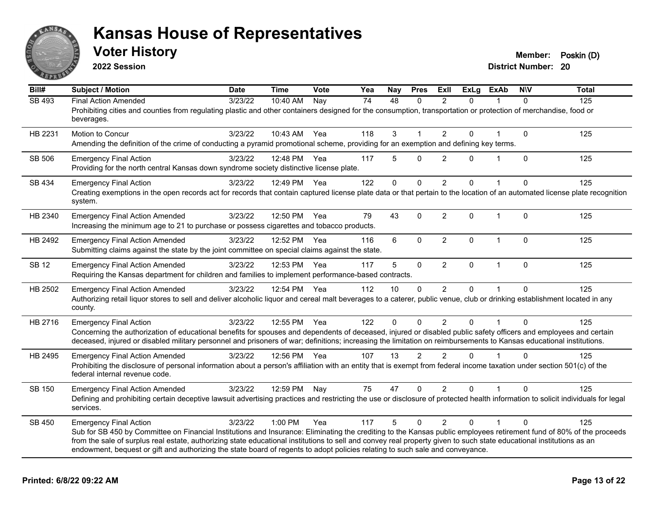

**2022 Session**

| Bill#         | <b>Subject / Motion</b>                                                                                                                                                                                                                                                                                                                                                                                                                                                                                        | <b>Date</b> | <b>Time</b>  | <b>Vote</b> | Yea | Nay          | <b>Pres</b>    | Exll           | <b>ExLg</b>  | <b>ExAb</b>  | <b>NIV</b>   | <b>Total</b> |
|---------------|----------------------------------------------------------------------------------------------------------------------------------------------------------------------------------------------------------------------------------------------------------------------------------------------------------------------------------------------------------------------------------------------------------------------------------------------------------------------------------------------------------------|-------------|--------------|-------------|-----|--------------|----------------|----------------|--------------|--------------|--------------|--------------|
| <b>SB 493</b> | <b>Final Action Amended</b><br>Prohibiting cities and counties from regulating plastic and other containers designed for the consumption, transportation or protection of merchandise, food or<br>beverages.                                                                                                                                                                                                                                                                                                   | 3/23/22     | 10:40 AM     | <b>Nay</b>  | 74  | 48           | $\Omega$       | 2              | $\Omega$     |              | $\Omega$     | 125          |
| HB 2231       | Motion to Concur<br>Amending the definition of the crime of conducting a pyramid promotional scheme, providing for an exemption and defining key terms.                                                                                                                                                                                                                                                                                                                                                        | 3/23/22     | 10:43 AM     | Yea         | 118 | 3            | 1              | $\overline{2}$ | $\Omega$     |              | $\mathbf{0}$ | 125          |
| SB 506        | <b>Emergency Final Action</b><br>Providing for the north central Kansas down syndrome society distinctive license plate.                                                                                                                                                                                                                                                                                                                                                                                       | 3/23/22     | 12:48 PM     | Yea         | 117 | 5            | $\Omega$       | $\overline{2}$ | $\Omega$     |              | $\mathbf{0}$ | 125          |
| SB 434        | <b>Emergency Final Action</b><br>Creating exemptions in the open records act for records that contain captured license plate data or that pertain to the location of an automated license plate recognition<br>system.                                                                                                                                                                                                                                                                                         | 3/23/22     | 12:49 PM     | Yea         | 122 | 0            | $\mathbf 0$    | $\overline{2}$ | $\Omega$     |              | 0            | 125          |
| HB 2340       | <b>Emergency Final Action Amended</b><br>Increasing the minimum age to 21 to purchase or possess cigarettes and tobacco products.                                                                                                                                                                                                                                                                                                                                                                              | 3/23/22     | 12:50 PM Yea |             | 79  | 43           | $\mathbf 0$    | $\overline{2}$ | $\mathbf{0}$ | $\mathbf{1}$ | $\mathbf{0}$ | 125          |
| HB 2492       | <b>Emergency Final Action Amended</b><br>Submitting claims against the state by the joint committee on special claims against the state.                                                                                                                                                                                                                                                                                                                                                                       | 3/23/22     | 12:52 PM     | Yea         | 116 | 6            | $\Omega$       | $\overline{2}$ | $\Omega$     | $\mathbf{1}$ | $\mathbf{0}$ | 125          |
| <b>SB 12</b>  | <b>Emergency Final Action Amended</b><br>Requiring the Kansas department for children and families to implement performance-based contracts.                                                                                                                                                                                                                                                                                                                                                                   | 3/23/22     | 12:53 PM     | Yea         | 117 | 5            | $\mathbf 0$    | $\overline{2}$ | $\mathbf{0}$ | $\mathbf{1}$ | $\mathbf{0}$ | 125          |
| HB 2502       | <b>Emergency Final Action Amended</b><br>Authorizing retail liquor stores to sell and deliver alcoholic liquor and cereal malt beverages to a caterer, public venue, club or drinking establishment located in any<br>county.                                                                                                                                                                                                                                                                                  | 3/23/22     | 12:54 PM Yea |             | 112 | 10           | $\mathbf 0$    | $\overline{2}$ | $\Omega$     |              | $\Omega$     | 125          |
| HB 2716       | <b>Emergency Final Action</b><br>Concerning the authorization of educational benefits for spouses and dependents of deceased, injured or disabled public safety officers and employees and certain<br>deceased, injured or disabled military personnel and prisoners of war; definitions; increasing the limitation on reimbursements to Kansas educational institutions.                                                                                                                                      | 3/23/22     | 12:55 PM     | Yea         | 122 | $\mathbf{0}$ | $\mathbf{0}$   | $\overline{2}$ | $\Omega$     |              | $\Omega$     | 125          |
| HB 2495       | <b>Emergency Final Action Amended</b><br>Prohibiting the disclosure of personal information about a person's affiliation with an entity that is exempt from federal income taxation under section 501(c) of the<br>federal internal revenue code.                                                                                                                                                                                                                                                              | 3/23/22     | 12:56 PM Yea |             | 107 | 13           | $\mathfrak{p}$ | $\overline{2}$ | $\Omega$     |              | $\Omega$     | 125          |
| SB 150        | <b>Emergency Final Action Amended</b><br>Defining and prohibiting certain deceptive lawsuit advertising practices and restricting the use or disclosure of protected health information to solicit individuals for legal<br>services.                                                                                                                                                                                                                                                                          | 3/23/22     | 12:59 PM     | Nay         | 75  | 47           | $\mathbf 0$    | $\overline{2}$ | $\Omega$     |              | $\Omega$     | 125          |
| SB 450        | <b>Emergency Final Action</b><br>Sub for SB 450 by Committee on Financial Institutions and Insurance: Eliminating the crediting to the Kansas public employees retirement fund of 80% of the proceeds<br>from the sale of surplus real estate, authorizing state educational institutions to sell and convey real property given to such state educational institutions as an<br>endowment, bequest or gift and authorizing the state board of regents to adopt policies relating to such sale and conveyance. | 3/23/22     | 1:00 PM      | Yea         | 117 | 5            | $\Omega$       | 2              | $\Omega$     |              | $\Omega$     | 125          |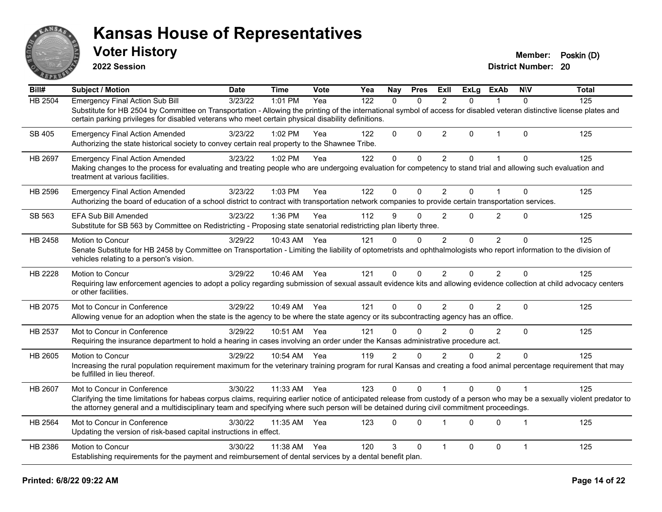

**2022 Session**

| Bill#          | <b>Subject / Motion</b>                                                                                                                                                                                                                                                                                                                                 | <b>Date</b> | <b>Time</b> | Vote | Yea | Nay            | <b>Pres</b>  | ExII                    | <b>ExLg</b> | <b>ExAb</b>    | <b>NIV</b>     | <b>Total</b> |
|----------------|---------------------------------------------------------------------------------------------------------------------------------------------------------------------------------------------------------------------------------------------------------------------------------------------------------------------------------------------------------|-------------|-------------|------|-----|----------------|--------------|-------------------------|-------------|----------------|----------------|--------------|
| <b>HB 2504</b> | <b>Emergency Final Action Sub Bill</b><br>Substitute for HB 2504 by Committee on Transportation - Allowing the printing of the international symbol of access for disabled veteran distinctive license plates and<br>certain parking privileges for disabled veterans who meet certain physical disability definitions.                                 | 3/23/22     | 1:01 PM     | Yea  | 122 | $\Omega$       | $\mathbf{0}$ | $\overline{2}$          | $\Omega$    | 1              | $\Omega$       | 125          |
| <b>SB 405</b>  | <b>Emergency Final Action Amended</b><br>Authorizing the state historical society to convey certain real property to the Shawnee Tribe.                                                                                                                                                                                                                 | 3/23/22     | 1:02 PM     | Yea  | 122 | 0              | $\Omega$     | $\overline{2}$          | $\Omega$    | $\overline{1}$ | $\Omega$       | 125          |
| HB 2697        | <b>Emergency Final Action Amended</b><br>Making changes to the process for evaluating and treating people who are undergoing evaluation for competency to stand trial and allowing such evaluation and<br>treatment at various facilities.                                                                                                              | 3/23/22     | 1:02 PM     | Yea  | 122 | $\pmb{0}$      | $\mathbf 0$  | $\overline{2}$          | $\Omega$    | 1              | $\Omega$       | 125          |
| HB 2596        | <b>Emergency Final Action Amended</b><br>Authorizing the board of education of a school district to contract with transportation network companies to provide certain transportation services.                                                                                                                                                          | 3/23/22     | 1:03 PM     | Yea  | 122 | 0              | $\Omega$     | $\overline{2}$          | $\Omega$    |                | $\Omega$       | 125          |
| SB 563         | EFA Sub Bill Amended<br>Substitute for SB 563 by Committee on Redistricting - Proposing state senatorial redistricting plan liberty three.                                                                                                                                                                                                              | 3/23/22     | 1:36 PM     | Yea  | 112 | 9              | $\mathbf{0}$ | $\overline{2}$          | $\Omega$    | $\overline{2}$ | $\Omega$       | 125          |
| HB 2458        | Motion to Concur<br>Senate Substitute for HB 2458 by Committee on Transportation - Limiting the liability of optometrists and ophthalmologists who report information to the division of<br>vehicles relating to a person's vision.                                                                                                                     | 3/29/22     | 10:43 AM    | Yea  | 121 | 0              | $\Omega$     | 2                       | $\Omega$    | $\overline{2}$ | $\Omega$       | 125          |
| HB 2228        | Motion to Concur<br>Requiring law enforcement agencies to adopt a policy regarding submission of sexual assault evidence kits and allowing evidence collection at child advocacy centers<br>or other facilities.                                                                                                                                        | 3/29/22     | 10:46 AM    | Yea  | 121 | $\Omega$       | 0            | $\overline{2}$          | $\Omega$    | $\overline{2}$ | $\Omega$       | 125          |
| HB 2075        | Mot to Concur in Conference<br>Allowing venue for an adoption when the state is the agency to be where the state agency or its subcontracting agency has an office.                                                                                                                                                                                     | 3/29/22     | 10:49 AM    | Yea  | 121 | $\Omega$       | $\mathbf{0}$ | $\overline{2}$          | $\Omega$    | $\overline{2}$ | $\Omega$       | 125          |
| HB 2537        | Mot to Concur in Conference<br>Requiring the insurance department to hold a hearing in cases involving an order under the Kansas administrative procedure act.                                                                                                                                                                                          | 3/29/22     | 10:51 AM    | Yea  | 121 | $\Omega$       | $\Omega$     | $\mathfrak{p}$          | 0           | $\overline{2}$ | $\Omega$       | 125          |
| HB 2605        | <b>Motion to Concur</b><br>Increasing the rural population requirement maximum for the veterinary training program for rural Kansas and creating a food animal percentage requirement that may<br>be fulfilled in lieu thereof.                                                                                                                         | 3/29/22     | 10:54 AM    | Yea  | 119 | $\overline{2}$ | $\mathbf 0$  | 2                       | 0           | $\overline{2}$ | $\Omega$       | 125          |
| HB 2607        | Mot to Concur in Conference<br>Clarifying the time limitations for habeas corpus claims, requiring earlier notice of anticipated release from custody of a person who may be a sexually violent predator to<br>the attorney general and a multidisciplinary team and specifying where such person will be detained during civil commitment proceedings. | 3/30/22     | 11:33 AM    | Yea  | 123 | $\Omega$       | $\mathbf{0}$ |                         | $\Omega$    | $\mathbf 0$    |                | 125          |
| HB 2564        | Mot to Concur in Conference<br>Updating the version of risk-based capital instructions in effect.                                                                                                                                                                                                                                                       | 3/30/22     | 11:35 AM    | Yea  | 123 | $\Omega$       | $\Omega$     | $\overline{\mathbf{1}}$ | $\Omega$    | $\Omega$       | $\overline{1}$ | 125          |
| HB 2386        | Motion to Concur<br>Establishing requirements for the payment and reimbursement of dental services by a dental benefit plan.                                                                                                                                                                                                                            | 3/30/22     | 11:38 AM    | Yea  | 120 | 3              | $\mathbf{0}$ | $\overline{1}$          | 0           | 0              | $\mathbf{1}$   | 125          |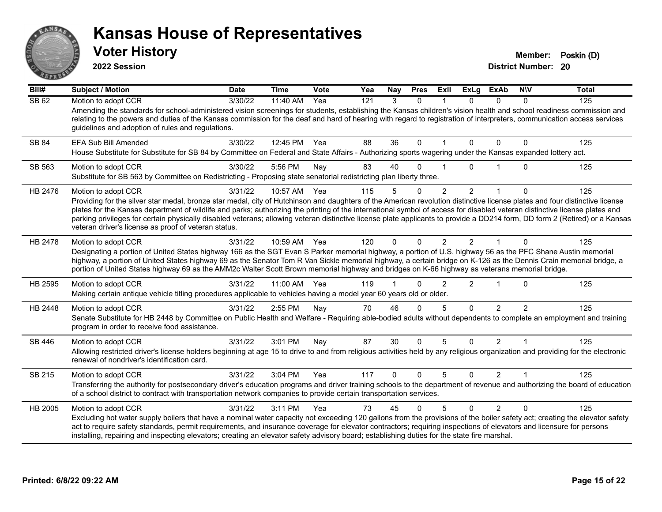

**2022 Session**

**District Number: 20 Voter History Member: Poskin (D)** 

**Bill# Subject / Motion Date Time Vote Yea Nay Pres Exll ExLg ExAb N\V Total** SB 62 Motion to adopt CCR 3/30/22 11:40 AM Yea 121 3 0 1 0 0 0 125 Amending the standards for school-administered vision screenings for students, establishing the Kansas children's vision health and school readiness commission and relating to the powers and duties of the Kansas commission for the deaf and hard of hearing with regard to registration of interpreters, communication access services guidelines and adoption of rules and regulations. SB 84 EFA Sub Bill Amended 3/30/22 12:45 PM Yea 88 36 0 1 0 0 0 125 House Substitute for Substitute for SB 84 by Committee on Federal and State Affairs - Authorizing sports wagering under the Kansas expanded lottery act. SB 563 Motion to adopt CCR 3/30/22 5:56 PM Nay 83 40 0 1 0 1 0 125 Substitute for SB 563 by Committee on Redistricting - Proposing state senatorial redistricting plan liberty three. HB 2476 Motion to adopt CCR and the 3/31/22 10:57 AM Yea 115 5 0 2 2 1 0 125 Providing for the silver star medal, bronze star medal, city of Hutchinson and daughters of the American revolution distinctive license plates and four distinctive license plates for the Kansas department of wildlife and parks; authorizing the printing of the international symbol of access for disabled veteran distinctive license plates and parking privileges for certain physically disabled veterans; allowing veteran distinctive license plate applicants to provide a DD214 form, DD form 2 (Retired) or a Kansas veteran driver's license as proof of veteran status. HB 2478 Motion to adopt CCR  $\frac{3}{31/22}$  10:59 AM Yea 120 0 0 2 2 1 0 125 Designating a portion of United States highway 166 as the SGT Evan S Parker memorial highway, a portion of U.S. highway 56 as the PFC Shane Austin memorial highway, a portion of United States highway 69 as the Senator Tom R Van Sickle memorial highway, a certain bridge on K-126 as the Dennis Crain memorial bridge, a portion of United States highway 69 as the AMM2c Walter Scott Brown memorial highway and bridges on K-66 highway as veterans memorial bridge. HB 2595 Motion to adopt CCR and the 3/31/22 11:00 AM Yea 119 1 0 2 2 1 0 125 Making certain antique vehicle titling procedures applicable to vehicles having a model year 60 years old or older. HB 2448 Motion to adopt CCR 3/31/22 2:55 PM Nay 70 46 0 5 0 2 2 125 Senate Substitute for HB 2448 by Committee on Public Health and Welfare - Requiring able-bodied adults without dependents to complete an employment and training program in order to receive food assistance. SB 446 Motion to adopt CCR and the 3/31/22 3:01 PM Nay 87 30 0 5 0 2 1 1 125 Allowing restricted driver's license holders beginning at age 15 to drive to and from religious activities held by any religious organization and providing for the electronic renewal of nondriver's identification card. SB 215 Motion to adopt CCR 3/31/22 3:04 PM Yea 117 0 0 5 0 2 1 125 Transferring the authority for postsecondary driver's education programs and driver training schools to the department of revenue and authorizing the board of education of a school district to contract with transportation network companies to provide certain transportation services. HB 2005 Motion to adopt CCR 3/31/22 3:11 PM Yea 73 45 0 5 0 2 0 125 Excluding hot water supply boilers that have a nominal water capacity not exceeding 120 gallons from the provisions of the boiler safety act; creating the elevator safety act to require safety standards, permit requirements, and insurance coverage for elevator contractors; requiring inspections of elevators and licensure for persons installing, repairing and inspecting elevators; creating an elevator safety advisory board; establishing duties for the state fire marshal.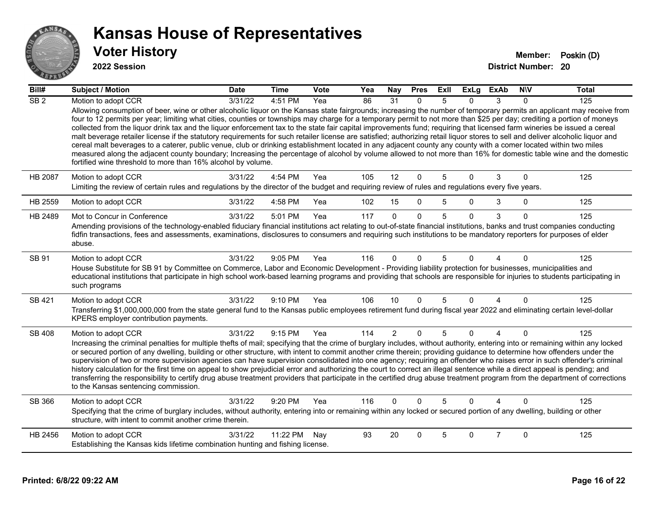

| Bill#            | <b>Subject / Motion</b>                                                                                                                                                                                                                                                                                                                                                                                                                                                                                                                                                                                                                                                                                                                                                                                                                                                                                                                         | <b>Date</b> | <b>Time</b>  | <b>Vote</b> | Yea | Nay            | <b>Pres</b>  | ExII | ExLg     | <b>ExAb</b>    | <b>NIV</b> | <b>Total</b> |
|------------------|-------------------------------------------------------------------------------------------------------------------------------------------------------------------------------------------------------------------------------------------------------------------------------------------------------------------------------------------------------------------------------------------------------------------------------------------------------------------------------------------------------------------------------------------------------------------------------------------------------------------------------------------------------------------------------------------------------------------------------------------------------------------------------------------------------------------------------------------------------------------------------------------------------------------------------------------------|-------------|--------------|-------------|-----|----------------|--------------|------|----------|----------------|------------|--------------|
| $\overline{SB2}$ | Motion to adopt CCR<br>Allowing consumption of beer, wine or other alcoholic liquor on the Kansas state fairgrounds; increasing the number of temporary permits an applicant may receive from                                                                                                                                                                                                                                                                                                                                                                                                                                                                                                                                                                                                                                                                                                                                                   | 3/31/22     | 4:51 PM      | Yea         | 86  | 31             | $\Omega$     | 5    | O.       | 3              | $\Omega$   | 125          |
|                  | four to 12 permits per year; limiting what cities, counties or townships may charge for a temporary permit to not more than \$25 per day; crediting a portion of moneys<br>collected from the liquor drink tax and the liquor enforcement tax to the state fair capital improvements fund; requiring that licensed farm wineries be issued a cereal<br>malt beverage retailer license if the statutory requirements for such retailer license are satisfied; authorizing retail liquor stores to sell and deliver alcoholic liquor and<br>cereal malt beverages to a caterer, public venue, club or drinking establishment located in any adjacent county any county with a comer located within two miles<br>measured along the adjacent county boundary; Increasing the percentage of alcohol by volume allowed to not more than 16% for domestic table wine and the domestic<br>fortified wine threshold to more than 16% alcohol by volume. |             |              |             |     |                |              |      |          |                |            |              |
| <b>HB 2087</b>   | Motion to adopt CCR                                                                                                                                                                                                                                                                                                                                                                                                                                                                                                                                                                                                                                                                                                                                                                                                                                                                                                                             | 3/31/22     | 4:54 PM      | Yea         | 105 | 12             | $\mathbf 0$  | 5    | $\Omega$ | 3              | $\Omega$   | 125          |
|                  | Limiting the review of certain rules and regulations by the director of the budget and requiring review of rules and regulations every five years.                                                                                                                                                                                                                                                                                                                                                                                                                                                                                                                                                                                                                                                                                                                                                                                              |             |              |             |     |                |              |      |          |                |            |              |
| HB 2559          | Motion to adopt CCR                                                                                                                                                                                                                                                                                                                                                                                                                                                                                                                                                                                                                                                                                                                                                                                                                                                                                                                             | 3/31/22     | 4:58 PM      | Yea         | 102 | 15             | $\mathbf{0}$ | 5    | 0        | 3              | $\Omega$   | 125          |
| HB 2489          | Mot to Concur in Conference                                                                                                                                                                                                                                                                                                                                                                                                                                                                                                                                                                                                                                                                                                                                                                                                                                                                                                                     | 3/31/22     | 5:01 PM      | Yea         | 117 | $\Omega$       | $\Omega$     | 5    | $\Omega$ | 3              | $\Omega$   | 125          |
|                  | Amending provisions of the technology-enabled fiduciary financial institutions act relating to out-of-state financial institutions, banks and trust companies conducting<br>fidfin transactions, fees and assessments, examinations, disclosures to consumers and requiring such institutions to be mandatory reporters for purposes of elder<br>abuse.                                                                                                                                                                                                                                                                                                                                                                                                                                                                                                                                                                                         |             |              |             |     |                |              |      |          |                |            |              |
| SB 91            | Motion to adopt CCR<br>House Substitute for SB 91 by Committee on Commerce, Labor and Economic Development - Providing liability protection for businesses, municipalities and<br>educational institutions that participate in high school work-based learning programs and providing that schools are responsible for injuries to students participating in<br>such programs                                                                                                                                                                                                                                                                                                                                                                                                                                                                                                                                                                   | 3/31/22     | 9:05 PM      | Yea         | 116 | $\Omega$       | $\Omega$     | 5    | n        |                | $\Omega$   | 125          |
| SB 421           | Motion to adopt CCR                                                                                                                                                                                                                                                                                                                                                                                                                                                                                                                                                                                                                                                                                                                                                                                                                                                                                                                             | 3/31/22     | 9:10 PM      | Yea         | 106 | 10             | $\mathbf{0}$ | 5    | $\Omega$ | 4              | $\Omega$   | 125          |
|                  | Transferring \$1,000,000,000 from the state general fund to the Kansas public employees retirement fund during fiscal year 2022 and eliminating certain level-dollar<br>KPERS employer contribution payments.                                                                                                                                                                                                                                                                                                                                                                                                                                                                                                                                                                                                                                                                                                                                   |             |              |             |     |                |              |      |          |                |            |              |
| SB 408           | Motion to adopt CCR                                                                                                                                                                                                                                                                                                                                                                                                                                                                                                                                                                                                                                                                                                                                                                                                                                                                                                                             | 3/31/22     | $9:15$ PM    | Yea         | 114 | $\overline{2}$ | $\mathbf{0}$ | 5    | $\Omega$ | 4              | $\Omega$   | 125          |
|                  | Increasing the criminal penalties for multiple thefts of mail; specifying that the crime of burglary includes, without authority, entering into or remaining within any locked<br>or secured portion of any dwelling, building or other structure, with intent to commit another crime therein; providing guidance to determine how offenders under the<br>supervision of two or more supervision agencies can have supervision consolidated into one agency; requiring an offender who raises error in such offender's criminal<br>history calculation for the first time on appeal to show prejudicial error and authorizing the court to correct an illegal sentence while a direct appeal is pending; and<br>transferring the responsibility to certify drug abuse treatment providers that participate in the certified drug abuse treatment program from the department of corrections<br>to the Kansas sentencing commission.            |             |              |             |     |                |              |      |          |                |            |              |
| SB 366           | Motion to adopt CCR                                                                                                                                                                                                                                                                                                                                                                                                                                                                                                                                                                                                                                                                                                                                                                                                                                                                                                                             | 3/31/22     | 9:20 PM      | Yea         | 116 | $\Omega$       | $\Omega$     | 5    | $\Omega$ |                | $\Omega$   | 125          |
|                  | Specifying that the crime of burglary includes, without authority, entering into or remaining within any locked or secured portion of any dwelling, building or other<br>structure, with intent to commit another crime therein.                                                                                                                                                                                                                                                                                                                                                                                                                                                                                                                                                                                                                                                                                                                |             |              |             |     |                |              |      |          |                |            |              |
| HB 2456          | Motion to adopt CCR                                                                                                                                                                                                                                                                                                                                                                                                                                                                                                                                                                                                                                                                                                                                                                                                                                                                                                                             | 3/31/22     | 11:22 PM Nay |             | 93  | 20             | $\Omega$     | 5    | $\Omega$ | $\overline{7}$ | $\Omega$   | 125          |
|                  | Establishing the Kansas kids lifetime combination hunting and fishing license.                                                                                                                                                                                                                                                                                                                                                                                                                                                                                                                                                                                                                                                                                                                                                                                                                                                                  |             |              |             |     |                |              |      |          |                |            |              |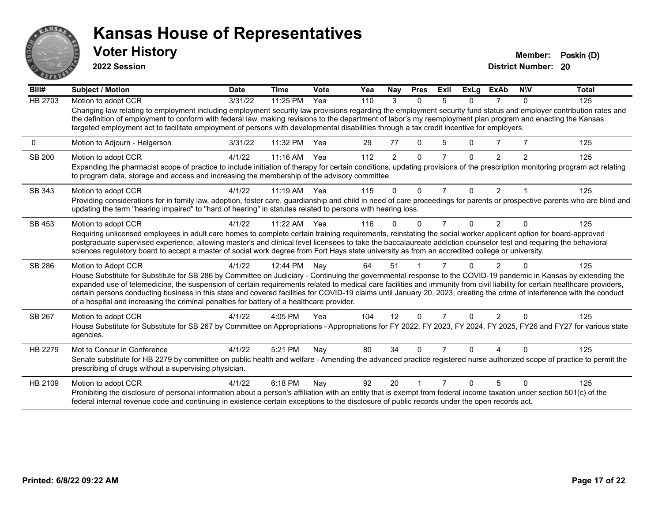

**2022 Session**

**District Number: 20 Voter History Member: Poskin (D)** 

**Bill# Subject / Motion Date Time Vote Yea Nay Pres Exll ExLg ExAb N\V Total** HB 2703 Motion to adopt CCR 3/31/22 11:25 PM Yea 110 3 0 5 0 7 0 125 Changing law relating to employment including employment security law provisions regarding the employment security fund status and employer contribution rates and the definition of employment to conform with federal law, making revisions to the department of labor's my reemployment plan program and enacting the Kansas targeted employment act to facilitate employment of persons with developmental disabilities through a tax credit incentive for employers. 0 Motion to Adjourn - Helgerson 3/31/22 11:32 PM Yea 29 77 0 5 0 7 7 125 SB 200 Motion to adopt CCR 4/1/22 11:16 AM Yea 112 2 0 7 0 2 2 125 Expanding the pharmacist scope of practice to include initiation of therapy for certain conditions, updating provisions of the prescription monitoring program act relating to program data, storage and access and increasing the membership of the advisory committee. SB 343 Motion to adopt CCR 4/1/22 11:19 AM Yea 115 0 0 7 0 2 1 125 Providing considerations for in family law, adoption, foster care, guardianship and child in need of care proceedings for parents or prospective parents who are blind and updating the term "hearing impaired" to "hard of hearing" in statutes related to persons with hearing loss. SB 453 Motion to adopt CCR 4/1/22 11:22 AM Yea 116 0 0 7 0 2 0 125 Requiring unlicensed employees in adult care homes to complete certain training requirements, reinstating the social worker applicant option for board-approved postgraduate supervised experience, allowing master's and clinical level licensees to take the baccalaureate addiction counselor test and requiring the behavioral sciences regulatory board to accept a master of social work degree from Fort Hays state university as from an accredited college or university. SB 286 Motion to Adopt CCR 4/1/22 12:44 PM Nay 64 51 1 7 0 2 0 125 House Substitute for Substitute for SB 286 by Committee on Judiciary - Continuing the governmental response to the COVID-19 pandemic in Kansas by extending the expanded use of telemedicine, the suspension of certain requirements related to medical care facilities and immunity from civil liability for certain healthcare providers, certain persons conducting business in this state and covered facilities for COVID-19 claims until January 20, 2023, creating the crime of interference with the conduct of a hospital and increasing the criminal penalties for battery of a healthcare provider. SB 267 Motion to adopt CCR 4/1/22 4:05 PM Yea 104 12 0 7 0 2 0 125 House Substitute for Substitute for SB 267 by Committee on Appropriations - Appropriations for FY 2022, FY 2023, FY 2024, FY 2025, FY26 and FY27 for various state agencies. HB 2279 Mot to Concur in Conference  $\frac{4}{1/22}$  5:21 PM Nay 80 34 0 7 0 4 0 125 Senate substitute for HB 2279 by committee on public health and welfare - Amending the advanced practice registered nurse authorized scope of practice to permit the prescribing of drugs without a supervising physician. HB 2109 Motion to adopt CCR 4/1/22 6:18 PM Nay 92 20 1 7 0 5 0 125 Prohibiting the disclosure of personal information about a person's affiliation with an entity that is exempt from federal income taxation under section 501(c) of the federal internal revenue code and continuing in existence certain exceptions to the disclosure of public records under the open records act.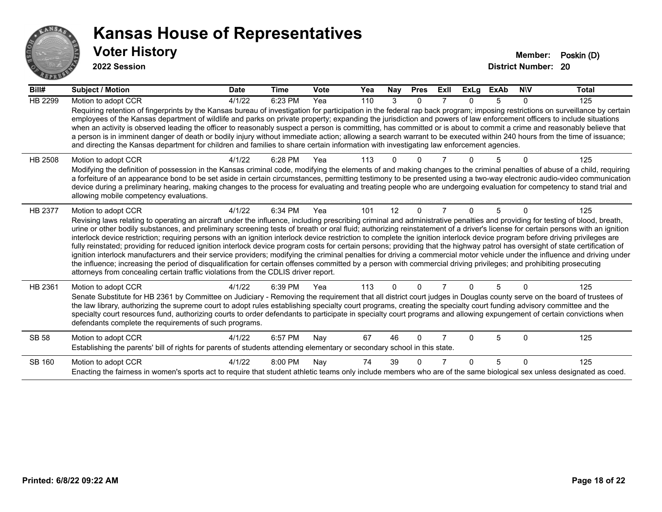

| Bill#          | <b>Subject / Motion</b>                                                                                                                                                                                                                                                                                                                                                                                                                                                                                                                                                                                                                                                                                                                                                                                                                                                                                                                                                                                                                                                                                                                                                                               | <b>Date</b> | <b>Time</b> | <b>Vote</b> | Yea | Nay | <b>Pres</b> | ExII | <b>ExLg</b> | ExAb | <b>NIV</b> | Total |
|----------------|-------------------------------------------------------------------------------------------------------------------------------------------------------------------------------------------------------------------------------------------------------------------------------------------------------------------------------------------------------------------------------------------------------------------------------------------------------------------------------------------------------------------------------------------------------------------------------------------------------------------------------------------------------------------------------------------------------------------------------------------------------------------------------------------------------------------------------------------------------------------------------------------------------------------------------------------------------------------------------------------------------------------------------------------------------------------------------------------------------------------------------------------------------------------------------------------------------|-------------|-------------|-------------|-----|-----|-------------|------|-------------|------|------------|-------|
| <b>HB 2299</b> | Motion to adopt CCR                                                                                                                                                                                                                                                                                                                                                                                                                                                                                                                                                                                                                                                                                                                                                                                                                                                                                                                                                                                                                                                                                                                                                                                   | 4/1/22      | 6:23 PM     | Yea         | 110 | 3   | $\Omega$    |      | 0           | 5    | $\Omega$   | 125   |
|                | Requiring retention of fingerprints by the Kansas bureau of investigation for participation in the federal rap back program; imposing restrictions on surveillance by certain<br>employees of the Kansas department of wildlife and parks on private property; expanding the jurisdiction and powers of law enforcement officers to include situations<br>when an activity is observed leading the officer to reasonably suspect a person is committing, has committed or is about to commit a crime and reasonably believe that<br>a person is in imminent danger of death or bodily injury without immediate action; allowing a search warrant to be executed within 240 hours from the time of issuance;<br>and directing the Kansas department for children and families to share certain information with investigating law enforcement agencies.                                                                                                                                                                                                                                                                                                                                                |             |             |             |     |     |             |      |             |      |            |       |
| HB 2508        | Motion to adopt CCR<br>Modifying the definition of possession in the Kansas criminal code, modifying the elements of and making changes to the criminal penalties of abuse of a child, requiring<br>a forfeiture of an appearance bond to be set aside in certain circumstances, permitting testimony to be presented using a two-way electronic audio-video communication<br>device during a preliminary hearing, making changes to the process for evaluating and treating people who are undergoing evaluation for competency to stand trial and<br>allowing mobile competency evaluations.                                                                                                                                                                                                                                                                                                                                                                                                                                                                                                                                                                                                        | 4/1/22      | 6:28 PM     | Yea         | 113 |     |             |      |             |      |            | 125   |
| <b>HB 2377</b> | Motion to adopt CCR<br>Revising laws relating to operating an aircraft under the influence, including prescribing criminal and administrative penalties and providing for testing of blood, breath,<br>urine or other bodily substances, and preliminary screening tests of breath or oral fluid; authorizing reinstatement of a driver's license for certain persons with an ignition<br>interlock device restriction; requiring persons with an ignition interlock device restriction to complete the ignition interlock device program before driving privileges are<br>fully reinstated; providing for reduced ignition interlock device program costs for certain persons; providing that the highway patrol has oversight of state certification of<br>ignition interlock manufacturers and their service providers; modifying the criminal penalties for driving a commercial motor vehicle under the influence and driving under<br>the influence; increasing the period of disqualification for certain offenses committed by a person with commercial driving privileges; and prohibiting prosecuting<br>attorneys from concealing certain traffic violations from the CDLIS driver report. | 4/1/22      | 6:34 PM     | Yea         | 101 | 12  | $\Omega$    |      | 0           | 5    | $\Omega$   | 125   |
| HB 2361        | Motion to adopt CCR<br>Senate Substitute for HB 2361 by Committee on Judiciary - Removing the requirement that all district court judges in Douglas county serve on the board of trustees of<br>the law library, authorizing the supreme court to adopt rules establishing specialty court programs, creating the specialty court funding advisory committee and the<br>specialty court resources fund, authorizing courts to order defendants to participate in specialty court programs and allowing expungement of certain convictions when<br>defendants complete the requirements of such programs.                                                                                                                                                                                                                                                                                                                                                                                                                                                                                                                                                                                              | 4/1/22      | 6:39 PM     | Yea         | 113 | U   | ∩           |      |             | 5    |            | 125   |
| <b>SB 58</b>   | Motion to adopt CCR<br>Establishing the parents' bill of rights for parents of students attending elementary or secondary school in this state.                                                                                                                                                                                                                                                                                                                                                                                                                                                                                                                                                                                                                                                                                                                                                                                                                                                                                                                                                                                                                                                       | 4/1/22      | 6:57 PM     | Nay         | 67  | 46  | $\Omega$    |      | U           | 5    | $\Omega$   | 125   |
| SB 160         | Motion to adopt CCR<br>Enacting the fairness in women's sports act to require that student athletic teams only include members who are of the same biological sex unless designated as coed.                                                                                                                                                                                                                                                                                                                                                                                                                                                                                                                                                                                                                                                                                                                                                                                                                                                                                                                                                                                                          | 4/1/22      | 8:00 PM     | Nay         | 74  | 39  | ∩           |      | n           | 5    | $\Omega$   | 125   |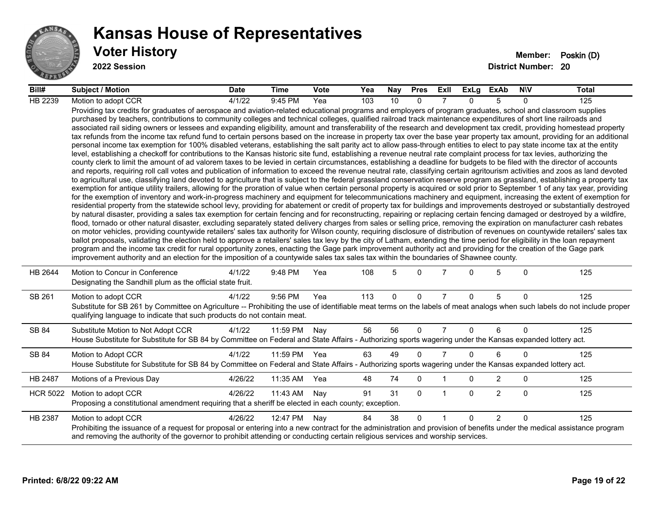

#### **Voter History Member: Poskin (D) Kansas House of Representatives**

| Bill#           | <b>Subject / Motion</b>                                                                                                                                                                                                                                                                                                                                                                                                                                                                                                                                                                                                                                                                                                                                                                                                                                                                                                                                                                                                                                                                                                                                                                                                                                                                                                                                                                                                                                                                                                                                                                                                                                                                                                                                                                                                                                                                                                                                                                                                                                                                                                                                                                                                                                                                                                                                                                                                                                                                                                                                                                                                                                                                                                                                                                                                                                                                                                                                                                                                                                                                                                                                                     | <b>Date</b> | Time     | <b>Vote</b> | Yea | Nay | <b>Pres</b> | ExII           | ExLg     | ExAb           | <b>NIV</b>   | Total |
|-----------------|-----------------------------------------------------------------------------------------------------------------------------------------------------------------------------------------------------------------------------------------------------------------------------------------------------------------------------------------------------------------------------------------------------------------------------------------------------------------------------------------------------------------------------------------------------------------------------------------------------------------------------------------------------------------------------------------------------------------------------------------------------------------------------------------------------------------------------------------------------------------------------------------------------------------------------------------------------------------------------------------------------------------------------------------------------------------------------------------------------------------------------------------------------------------------------------------------------------------------------------------------------------------------------------------------------------------------------------------------------------------------------------------------------------------------------------------------------------------------------------------------------------------------------------------------------------------------------------------------------------------------------------------------------------------------------------------------------------------------------------------------------------------------------------------------------------------------------------------------------------------------------------------------------------------------------------------------------------------------------------------------------------------------------------------------------------------------------------------------------------------------------------------------------------------------------------------------------------------------------------------------------------------------------------------------------------------------------------------------------------------------------------------------------------------------------------------------------------------------------------------------------------------------------------------------------------------------------------------------------------------------------------------------------------------------------------------------------------------------------------------------------------------------------------------------------------------------------------------------------------------------------------------------------------------------------------------------------------------------------------------------------------------------------------------------------------------------------------------------------------------------------------------------------------------------------|-------------|----------|-------------|-----|-----|-------------|----------------|----------|----------------|--------------|-------|
| HB 2239         | Motion to adopt CCR                                                                                                                                                                                                                                                                                                                                                                                                                                                                                                                                                                                                                                                                                                                                                                                                                                                                                                                                                                                                                                                                                                                                                                                                                                                                                                                                                                                                                                                                                                                                                                                                                                                                                                                                                                                                                                                                                                                                                                                                                                                                                                                                                                                                                                                                                                                                                                                                                                                                                                                                                                                                                                                                                                                                                                                                                                                                                                                                                                                                                                                                                                                                                         | 4/1/22      | 9:45 PM  | Yea         | 103 | 10  | $\Omega$    |                | $\Omega$ | 5              | $\Omega$     | 125   |
|                 | Providing tax credits for graduates of aerospace and aviation-related educational programs and employers of program graduates, school and classroom supplies<br>purchased by teachers, contributions to community colleges and technical colleges, qualified railroad track maintenance expenditures of short line railroads and<br>associated rail siding owners or lessees and expanding eligibility, amount and transferability of the research and development tax credit, providing homestead property<br>tax refunds from the income tax refund fund to certain persons based on the increase in property tax over the base year property tax amount, providing for an additional<br>personal income tax exemption for 100% disabled veterans, establishing the salt parity act to allow pass-through entities to elect to pay state income tax at the entity<br>level, establishing a checkoff for contributions to the Kansas historic site fund, establishing a revenue neutral rate complaint process for tax levies, authorizing the<br>county clerk to limit the amount of ad valorem taxes to be levied in certain circumstances, establishing a deadline for budgets to be filed with the director of accounts<br>and reports, requiring roll call votes and publication of information to exceed the revenue neutral rate, classifying certain agritourism activities and zoos as land devoted<br>to agricultural use, classifying land devoted to agriculture that is subject to the federal grassland conservation reserve program as grassland, establishing a property tax<br>exemption for antique utility trailers, allowing for the proration of value when certain personal property is acquired or sold prior to September 1 of any tax year, providing<br>for the exemption of inventory and work-in-progress machinery and equipment for telecommunications machinery and equipment, increasing the extent of exemption for<br>residential property from the statewide school levy, providing for abatement or credit of property tax for buildings and improvements destroyed or substantially destroyed<br>by natural disaster, providing a sales tax exemption for certain fencing and for reconstructing, repairing or replacing certain fencing damaged or destroyed by a wildfire,<br>flood, tornado or other natural disaster, excluding separately stated delivery charges from sales or selling price, removing the expiration on manufacturer cash rebates<br>on motor vehicles, providing countywide retailers' sales tax authority for Wilson county, requiring disclosure of distribution of revenues on countywide retailers' sales tax<br>ballot proposals, validating the election held to approve a retailers' sales tax levy by the city of Latham, extending the time period for eligibility in the loan repayment<br>program and the income tax credit for rural opportunity zones, enacting the Gage park improvement authority act and providing for the creation of the Gage park<br>improvement authority and an election for the imposition of a countywide sales tax sales tax within the boundaries of Shawnee county. |             |          |             |     |     |             |                |          |                |              |       |
| HB 2644         | Motion to Concur in Conference<br>Designating the Sandhill plum as the official state fruit.                                                                                                                                                                                                                                                                                                                                                                                                                                                                                                                                                                                                                                                                                                                                                                                                                                                                                                                                                                                                                                                                                                                                                                                                                                                                                                                                                                                                                                                                                                                                                                                                                                                                                                                                                                                                                                                                                                                                                                                                                                                                                                                                                                                                                                                                                                                                                                                                                                                                                                                                                                                                                                                                                                                                                                                                                                                                                                                                                                                                                                                                                | 4/1/22      | 9:48 PM  | Yea         | 108 | 5   | $\Omega$    |                | O.       | 5              | $\mathbf{0}$ | 125   |
| SB 261          | Motion to adopt CCR<br>Substitute for SB 261 by Committee on Agriculture -- Prohibiting the use of identifiable meat terms on the labels of meat analogs when such labels do not include proper<br>qualifying language to indicate that such products do not contain meat.                                                                                                                                                                                                                                                                                                                                                                                                                                                                                                                                                                                                                                                                                                                                                                                                                                                                                                                                                                                                                                                                                                                                                                                                                                                                                                                                                                                                                                                                                                                                                                                                                                                                                                                                                                                                                                                                                                                                                                                                                                                                                                                                                                                                                                                                                                                                                                                                                                                                                                                                                                                                                                                                                                                                                                                                                                                                                                  | 4/1/22      | 9:56 PM  | Yea         | 113 | 0   | $\mathbf 0$ | $\overline{7}$ | $\Omega$ | 5              | $\mathbf 0$  | 125   |
| SB 84           | Substitute Motion to Not Adopt CCR<br>House Substitute for Substitute for SB 84 by Committee on Federal and State Affairs - Authorizing sports wagering under the Kansas expanded lottery act.                                                                                                                                                                                                                                                                                                                                                                                                                                                                                                                                                                                                                                                                                                                                                                                                                                                                                                                                                                                                                                                                                                                                                                                                                                                                                                                                                                                                                                                                                                                                                                                                                                                                                                                                                                                                                                                                                                                                                                                                                                                                                                                                                                                                                                                                                                                                                                                                                                                                                                                                                                                                                                                                                                                                                                                                                                                                                                                                                                              | 4/1/22      | 11:59 PM | Nay         | 56  | 56  | $\Omega$    | $\overline{7}$ | 0        | 6              | $\mathbf{0}$ | 125   |
| SB 84           | Motion to Adopt CCR<br>House Substitute for Substitute for SB 84 by Committee on Federal and State Affairs - Authorizing sports wagering under the Kansas expanded lottery act.                                                                                                                                                                                                                                                                                                                                                                                                                                                                                                                                                                                                                                                                                                                                                                                                                                                                                                                                                                                                                                                                                                                                                                                                                                                                                                                                                                                                                                                                                                                                                                                                                                                                                                                                                                                                                                                                                                                                                                                                                                                                                                                                                                                                                                                                                                                                                                                                                                                                                                                                                                                                                                                                                                                                                                                                                                                                                                                                                                                             | 4/1/22      | 11:59 PM | Yea         | 63  | 49  | $\Omega$    | $\overline{7}$ | $\Omega$ | 6              | $\Omega$     | 125   |
| HB 2487         | Motions of a Previous Day                                                                                                                                                                                                                                                                                                                                                                                                                                                                                                                                                                                                                                                                                                                                                                                                                                                                                                                                                                                                                                                                                                                                                                                                                                                                                                                                                                                                                                                                                                                                                                                                                                                                                                                                                                                                                                                                                                                                                                                                                                                                                                                                                                                                                                                                                                                                                                                                                                                                                                                                                                                                                                                                                                                                                                                                                                                                                                                                                                                                                                                                                                                                                   | 4/26/22     | 11:35 AM | Yea         | 48  | 74  | 0           |                | 0        | $\overline{2}$ | 0            | 125   |
| <b>HCR 5022</b> | Motion to adopt CCR<br>Proposing a constitutional amendment requiring that a sheriff be elected in each county; exception.                                                                                                                                                                                                                                                                                                                                                                                                                                                                                                                                                                                                                                                                                                                                                                                                                                                                                                                                                                                                                                                                                                                                                                                                                                                                                                                                                                                                                                                                                                                                                                                                                                                                                                                                                                                                                                                                                                                                                                                                                                                                                                                                                                                                                                                                                                                                                                                                                                                                                                                                                                                                                                                                                                                                                                                                                                                                                                                                                                                                                                                  | 4/26/22     | 11:43 AM | Nay         | 91  | 31  | $\Omega$    | 1              | $\Omega$ | $\overline{2}$ | $\mathbf{0}$ | 125   |
| HB 2387         | Motion to adopt CCR<br>Prohibiting the issuance of a request for proposal or entering into a new contract for the administration and provision of benefits under the medical assistance program<br>and removing the authority of the governor to prohibit attending or conducting certain religious services and worship services.                                                                                                                                                                                                                                                                                                                                                                                                                                                                                                                                                                                                                                                                                                                                                                                                                                                                                                                                                                                                                                                                                                                                                                                                                                                                                                                                                                                                                                                                                                                                                                                                                                                                                                                                                                                                                                                                                                                                                                                                                                                                                                                                                                                                                                                                                                                                                                                                                                                                                                                                                                                                                                                                                                                                                                                                                                          | 4/26/22     | 12:47 PM | Nay         | 84  | 38  | $\Omega$    | $\overline{1}$ | $\Omega$ | $\overline{2}$ | $\Omega$     | 125   |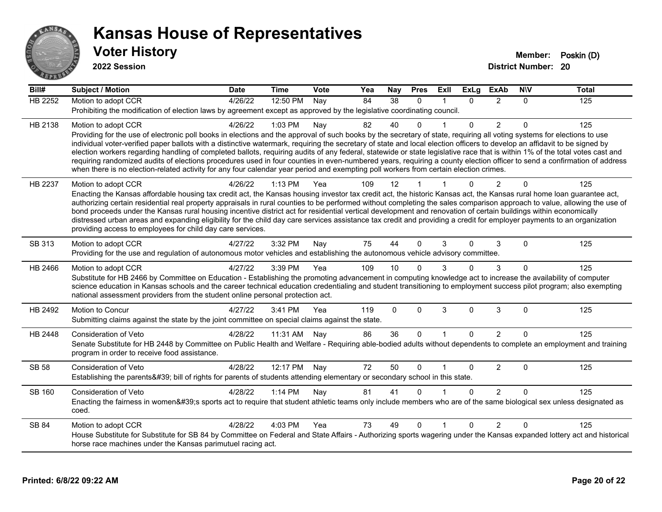

| <b>HB 2252</b><br>$\overline{38}$<br>Motion to adopt CCR<br>4/26/22<br>12:50 PM<br>84<br>2<br>Nav<br>0<br>$\Omega$<br>0<br>Prohibiting the modification of election laws by agreement except as approved by the legislative coordinating council.<br>$\overline{2}$<br>$\Omega$<br>HB 2138<br>4/26/22<br>1:03 PM<br>40<br>$\Omega$<br>Motion to adopt CCR<br>82<br>0<br>Nay<br>Providing for the use of electronic poll books in elections and the approval of such books by the secretary of state, requiring all voting systems for elections to use<br>individual voter-verified paper ballots with a distinctive watermark, requiring the secretary of state and local election officers to develop an affidavit to be signed by<br>election workers regarding handling of completed ballots, requiring audits of any federal, statewide or state legislative race that is within 1% of the total votes cast and | 125<br>125 |
|----------------------------------------------------------------------------------------------------------------------------------------------------------------------------------------------------------------------------------------------------------------------------------------------------------------------------------------------------------------------------------------------------------------------------------------------------------------------------------------------------------------------------------------------------------------------------------------------------------------------------------------------------------------------------------------------------------------------------------------------------------------------------------------------------------------------------------------------------------------------------------------------------------------------|------------|
|                                                                                                                                                                                                                                                                                                                                                                                                                                                                                                                                                                                                                                                                                                                                                                                                                                                                                                                      |            |
|                                                                                                                                                                                                                                                                                                                                                                                                                                                                                                                                                                                                                                                                                                                                                                                                                                                                                                                      |            |
|                                                                                                                                                                                                                                                                                                                                                                                                                                                                                                                                                                                                                                                                                                                                                                                                                                                                                                                      |            |
|                                                                                                                                                                                                                                                                                                                                                                                                                                                                                                                                                                                                                                                                                                                                                                                                                                                                                                                      |            |
|                                                                                                                                                                                                                                                                                                                                                                                                                                                                                                                                                                                                                                                                                                                                                                                                                                                                                                                      |            |
| requiring randomized audits of elections procedures used in four counties in even-numbered years, requiring a county election officer to send a confirmation of address                                                                                                                                                                                                                                                                                                                                                                                                                                                                                                                                                                                                                                                                                                                                              |            |
| when there is no election-related activity for any four calendar year period and exempting poll workers from certain election crimes.                                                                                                                                                                                                                                                                                                                                                                                                                                                                                                                                                                                                                                                                                                                                                                                |            |
| $\overline{2}$<br>109<br>12<br>$\Omega$<br>$\Omega$<br>HB 2237<br>4/26/22<br>$1:13$ PM<br>Motion to adopt CCR<br>Yea                                                                                                                                                                                                                                                                                                                                                                                                                                                                                                                                                                                                                                                                                                                                                                                                 | 125        |
| Enacting the Kansas affordable housing tax credit act, the Kansas housing investor tax credit act, the historic Kansas act, the Kansas rural home loan guarantee act,                                                                                                                                                                                                                                                                                                                                                                                                                                                                                                                                                                                                                                                                                                                                                |            |
| authorizing certain residential real property appraisals in rural counties to be performed without completing the sales comparison approach to value, allowing the use of                                                                                                                                                                                                                                                                                                                                                                                                                                                                                                                                                                                                                                                                                                                                            |            |
| bond proceeds under the Kansas rural housing incentive district act for residential vertical development and renovation of certain buildings within economically<br>distressed urban areas and expanding eligibility for the child day care services assistance tax credit and providing a credit for employer payments to an organization                                                                                                                                                                                                                                                                                                                                                                                                                                                                                                                                                                           |            |
| providing access to employees for child day care services.                                                                                                                                                                                                                                                                                                                                                                                                                                                                                                                                                                                                                                                                                                                                                                                                                                                           |            |
| 75<br>44<br>3<br>SB 313<br>4/27/22<br>3:32 PM<br>0<br>3<br>$\Omega$<br>$\Omega$<br>Motion to adopt CCR<br>Nay                                                                                                                                                                                                                                                                                                                                                                                                                                                                                                                                                                                                                                                                                                                                                                                                        | 125        |
| Providing for the use and regulation of autonomous motor vehicles and establishing the autonomous vehicle advisory committee.                                                                                                                                                                                                                                                                                                                                                                                                                                                                                                                                                                                                                                                                                                                                                                                        |            |
|                                                                                                                                                                                                                                                                                                                                                                                                                                                                                                                                                                                                                                                                                                                                                                                                                                                                                                                      |            |
| HB 2466<br>3:39 PM<br>$\Omega$<br>3<br>Motion to adopt CCR<br>4/27/22<br>Yea<br>109<br>10<br>0<br>$\Omega$<br>Substitute for HB 2466 by Committee on Education - Establishing the promoting advancement in computing knowledge act to increase the availability of computer                                                                                                                                                                                                                                                                                                                                                                                                                                                                                                                                                                                                                                          | 125        |
| science education in Kansas schools and the career technical education credentialing and student transitioning to employment success pilot program; also exempting                                                                                                                                                                                                                                                                                                                                                                                                                                                                                                                                                                                                                                                                                                                                                   |            |
| national assessment providers from the student online personal protection act.                                                                                                                                                                                                                                                                                                                                                                                                                                                                                                                                                                                                                                                                                                                                                                                                                                       |            |
| 4/27/22<br>119<br>$\mathbf{0}$<br>$\Omega$<br>3<br>$\mathbf{0}$<br>3<br>HB 2492<br>Motion to Concur<br>3:41 PM<br>$\Omega$<br>Yea                                                                                                                                                                                                                                                                                                                                                                                                                                                                                                                                                                                                                                                                                                                                                                                    | 125        |
| Submitting claims against the state by the joint committee on special claims against the state.                                                                                                                                                                                                                                                                                                                                                                                                                                                                                                                                                                                                                                                                                                                                                                                                                      |            |
| $\overline{2}$<br>36<br>$\mathbf{0}$<br><b>Consideration of Veto</b><br>4/28/22<br>86<br>0<br>HB 2448<br>11:31 AM<br>Nay<br>0<br>1                                                                                                                                                                                                                                                                                                                                                                                                                                                                                                                                                                                                                                                                                                                                                                                   | 125        |
| Senate Substitute for HB 2448 by Committee on Public Health and Welfare - Requiring able-bodied adults without dependents to complete an employment and training                                                                                                                                                                                                                                                                                                                                                                                                                                                                                                                                                                                                                                                                                                                                                     |            |
| program in order to receive food assistance.                                                                                                                                                                                                                                                                                                                                                                                                                                                                                                                                                                                                                                                                                                                                                                                                                                                                         |            |
| 72<br>50<br>2<br><b>SB 58</b><br>4/28/22<br>12:17 PM<br>0<br>$\mathbf{0}$<br>$\Omega$<br>Consideration of Veto<br>Nay                                                                                                                                                                                                                                                                                                                                                                                                                                                                                                                                                                                                                                                                                                                                                                                                | 125        |
| Establishing the parents' bill of rights for parents of students attending elementary or secondary school in this state.                                                                                                                                                                                                                                                                                                                                                                                                                                                                                                                                                                                                                                                                                                                                                                                             |            |
| $\overline{2}$<br>1:14 PM<br>81<br>41<br><b>SB 160</b><br>Consideration of Veto<br>4/28/22<br>Nay<br>$\Omega$<br>0<br>$\Omega$                                                                                                                                                                                                                                                                                                                                                                                                                                                                                                                                                                                                                                                                                                                                                                                       | 125        |
| Enacting the fairness in women's sports act to require that student athletic teams only include members who are of the same biological sex unless designated as                                                                                                                                                                                                                                                                                                                                                                                                                                                                                                                                                                                                                                                                                                                                                      |            |
| coed.                                                                                                                                                                                                                                                                                                                                                                                                                                                                                                                                                                                                                                                                                                                                                                                                                                                                                                                |            |
| 49<br>$\Omega$<br>$\overline{2}$<br>4/28/22<br>4:03 PM<br>Yea<br>73<br>$\Omega$<br>$\Omega$<br>SB 84<br>Motion to adopt CCR<br>$\mathbf{1}$                                                                                                                                                                                                                                                                                                                                                                                                                                                                                                                                                                                                                                                                                                                                                                          | 125        |
| House Substitute for Substitute for SB 84 by Committee on Federal and State Affairs - Authorizing sports wagering under the Kansas expanded lottery act and historical                                                                                                                                                                                                                                                                                                                                                                                                                                                                                                                                                                                                                                                                                                                                               |            |
| horse race machines under the Kansas parimutuel racing act.                                                                                                                                                                                                                                                                                                                                                                                                                                                                                                                                                                                                                                                                                                                                                                                                                                                          |            |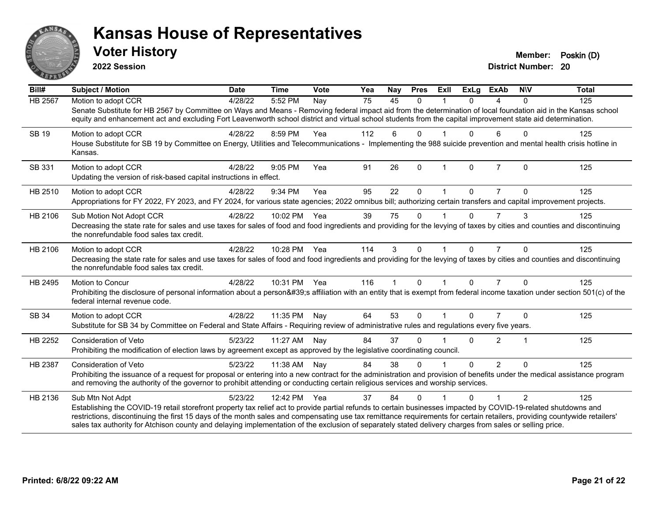

**2022 Session**

| Bill#          | Subject / Motion                                                                                                                                                                                                                                                                                                                                                                                                                                                                                                           | <b>Date</b> | <b>Time</b>  | Vote | Yea | Nay          | <b>Pres</b> | ExII                 | <b>ExLg</b>  | <b>ExAb</b>    | <b>NIV</b>     | <b>Total</b> |
|----------------|----------------------------------------------------------------------------------------------------------------------------------------------------------------------------------------------------------------------------------------------------------------------------------------------------------------------------------------------------------------------------------------------------------------------------------------------------------------------------------------------------------------------------|-------------|--------------|------|-----|--------------|-------------|----------------------|--------------|----------------|----------------|--------------|
| <b>HB 2567</b> | Motion to adopt CCR<br>Senate Substitute for HB 2567 by Committee on Ways and Means - Removing federal impact aid from the determination of local foundation aid in the Kansas school<br>equity and enhancement act and excluding Fort Leavenworth school district and virtual school students from the capital improvement state aid determination.                                                                                                                                                                       | 4/28/22     | 5:52 PM      | Nay  | 75  | 45           | $\Omega$    |                      | 0            | 4              | $\Omega$       | 125          |
| <b>SB 19</b>   | Motion to adopt CCR<br>House Substitute for SB 19 by Committee on Energy, Utilities and Telecommunications - Implementing the 988 suicide prevention and mental health crisis hotline in<br>Kansas.                                                                                                                                                                                                                                                                                                                        | 4/28/22     | 8:59 PM      | Yea  | 112 | 6            | $\Omega$    |                      | $\Omega$     | 6              | $\mathbf{0}$   | 125          |
| SB 331         | Motion to adopt CCR<br>Updating the version of risk-based capital instructions in effect.                                                                                                                                                                                                                                                                                                                                                                                                                                  | 4/28/22     | 9:05 PM      | Yea  | 91  | 26           | $\Omega$    | $\mathbf 1$          | $\mathbf{0}$ | $\overline{7}$ | $\Omega$       | 125          |
| HB 2510        | Motion to adopt CCR<br>Appropriations for FY 2022, FY 2023, and FY 2024, for various state agencies; 2022 omnibus bill; authorizing certain transfers and capital improvement projects.                                                                                                                                                                                                                                                                                                                                    | 4/28/22     | 9:34 PM      | Yea  | 95  | 22           | $\Omega$    |                      | 0            | 7              | $\Omega$       | 125          |
| HB 2106        | Sub Motion Not Adopt CCR<br>Decreasing the state rate for sales and use taxes for sales of food and food ingredients and providing for the levying of taxes by cities and counties and discontinuing<br>the nonrefundable food sales tax credit.                                                                                                                                                                                                                                                                           | 4/28/22     | 10:02 PM     | Yea  | 39  | 75           | $\Omega$    |                      | $\Omega$     | 7              | 3              | 125          |
| HB 2106        | Motion to adopt CCR<br>Decreasing the state rate for sales and use taxes for sales of food and food ingredients and providing for the levying of taxes by cities and counties and discontinuing<br>the nonrefundable food sales tax credit.                                                                                                                                                                                                                                                                                | 4/28/22     | 10:28 PM Yea |      | 114 | 3            | $\Omega$    |                      | $\Omega$     | $\overline{7}$ | $\Omega$       | 125          |
| HB 2495        | Motion to Concur<br>Prohibiting the disclosure of personal information about a person's affiliation with an entity that is exempt from federal income taxation under section 501(c) of the<br>federal internal revenue code.                                                                                                                                                                                                                                                                                               | 4/28/22     | 10:31 PM     | Yea  | 116 | $\mathbf{1}$ | $\Omega$    | $\mathbf{1}$         | $\Omega$     | $\overline{7}$ | $\Omega$       | 125          |
| SB 34          | Motion to adopt CCR<br>Substitute for SB 34 by Committee on Federal and State Affairs - Requiring review of administrative rules and regulations every five years.                                                                                                                                                                                                                                                                                                                                                         | 4/28/22     | 11:35 PM     | Nay  | 64  | 53           | $\Omega$    | $\blacktriangleleft$ | $\Omega$     | $\overline{7}$ | $\Omega$       | 125          |
| HB 2252        | <b>Consideration of Veto</b><br>Prohibiting the modification of election laws by agreement except as approved by the legislative coordinating council.                                                                                                                                                                                                                                                                                                                                                                     | 5/23/22     | 11:27 AM Nay |      | 84  | 37           | $\Omega$    |                      | $\Omega$     | $\overline{2}$ | $\mathbf 1$    | 125          |
| HB 2387        | Consideration of Veto<br>Prohibiting the issuance of a request for proposal or entering into a new contract for the administration and provision of benefits under the medical assistance program<br>and removing the authority of the governor to prohibit attending or conducting certain religious services and worship services.                                                                                                                                                                                       | 5/23/22     | 11:38 AM     | Nay  | 84  | 38           | $\Omega$    |                      | $\Omega$     | $\overline{2}$ | $\Omega$       | 125          |
| HB 2136        | Sub Mtn Not Adpt<br>Establishing the COVID-19 retail storefront property tax relief act to provide partial refunds to certain businesses impacted by COVID-19-related shutdowns and<br>restrictions, discontinuing the first 15 days of the month sales and compensating use tax remittance requirements for certain retailers, providing countywide retailers'<br>sales tax authority for Atchison county and delaying implementation of the exclusion of separately stated delivery charges from sales or selling price. | 5/23/22     | 12:42 PM     | Yea  | 37  | 84           | $\Omega$    |                      | 0            |                | $\overline{2}$ | 125          |